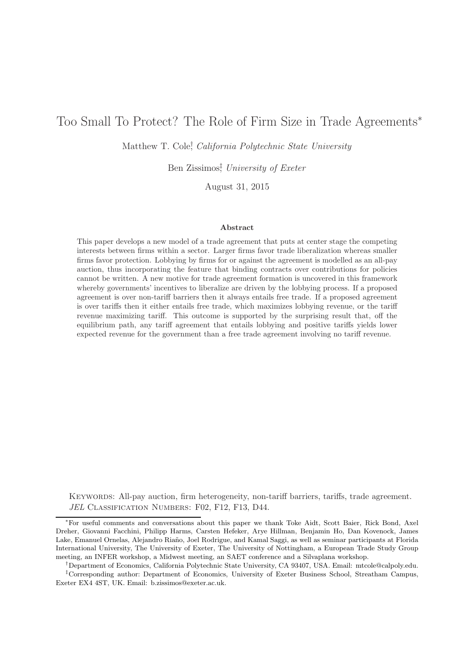# Too Small To Protect? The Role of Firm Size in Trade Agreements<sup>\*</sup>

Matthew T. Cole<sup>†</sup>, California Polytechnic State University

Ben Zissimos‡ , University of Exeter

August 31, 2015

#### Abstract

This paper develops a new model of a trade agreement that puts at center stage the competing interests between firms within a sector. Larger firms favor trade liberalization whereas smaller firms favor protection. Lobbying by firms for or against the agreement is modelled as an all-pay auction, thus incorporating the feature that binding contracts over contributions for policies cannot be written. A new motive for trade agreement formation is uncovered in this framework whereby governments' incentives to liberalize are driven by the lobbying process. If a proposed agreement is over non-tariff barriers then it always entails free trade. If a proposed agreement is over tariffs then it either entails free trade, which maximizes lobbying revenue, or the tariff revenue maximizing tariff. This outcome is supported by the surprising result that, off the equilibrium path, any tariff agreement that entails lobbying and positive tariffs yields lower expected revenue for the government than a free trade agreement involving no tariff revenue.

Keywords: All-pay auction, firm heterogeneity, non-tariff barriers, tariffs, trade agreement. JEL CLASSIFICATION NUMBERS: F02, F12, F13, D44.

<sup>∗</sup>For useful comments and conversations about this paper we thank Toke Aidt, Scott Baier, Rick Bond, Axel Dreher, Giovanni Facchini, Philipp Harms, Carsten Hefeker, Arye Hillman, Benjamin Ho, Dan Kovenock, James Lake, Emanuel Ornelas, Alejandro Riaño, Joel Rodrigue, and Kamal Saggi, as well as seminar participants at Florida International University, The University of Exeter, The University of Nottingham, a European Trade Study Group meeting, an INFER workshop, a Midwest meeting, an SAET conference and a Silvaplana workshop.

<sup>†</sup>Department of Economics, California Polytechnic State University, CA 93407, USA. Email: mtcole@calpoly.edu. ‡Corresponding author: Department of Economics, University of Exeter Business School, Streatham Campus, Exeter EX4 4ST, UK. Email: b.zissimos@exeter.ac.uk.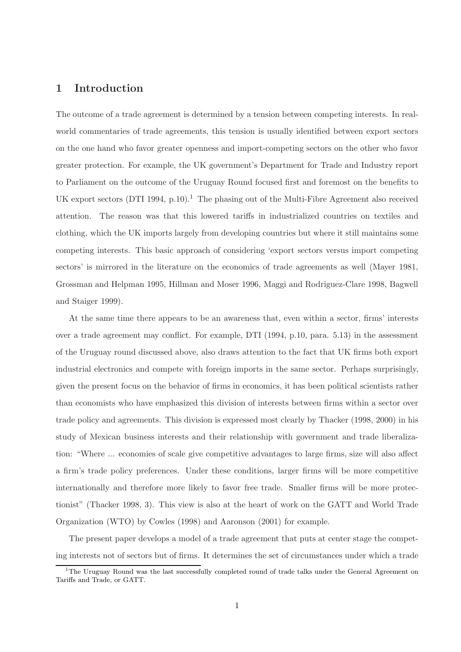## 1 Introduction

The outcome of a trade agreement is determined by a tension between competing interests. In realworld commentaries of trade agreements, this tension is usually identified between export sectors on the one hand who favor greater openness and import-competing sectors on the other who favor greater protection. For example, the UK government's Department for Trade and Industry report to Parliament on the outcome of the Uruguay Round focused first and foremost on the benefits to UK export sectors  $(DTI 1994, p.10).$ <sup>1</sup> The phasing out of the Multi-Fibre Agreement also received attention. The reason was that this lowered tariffs in industrialized countries on textiles and clothing, which the UK imports largely from developing countries but where it still maintains some competing interests. This basic approach of considering 'export sectors versus import competing sectors' is mirrored in the literature on the economics of trade agreements as well (Mayer 1981, Grossman and Helpman 1995, Hillman and Moser 1996, Maggi and Rodriguez-Clare 1998, Bagwell and Staiger 1999).

At the same time there appears to be an awareness that, even within a sector, firms' interests over a trade agreement may conflict. For example, DTI (1994, p.10, para. 5.13) in the assessment of the Uruguay round discussed above, also draws attention to the fact that UK firms both export industrial electronics and compete with foreign imports in the same sector. Perhaps surprisingly, given the present focus on the behavior of firms in economics, it has been political scientists rather than economists who have emphasized this division of interests between firms within a sector over trade policy and agreements. This division is expressed most clearly by Thacker (1998, 2000) in his study of Mexican business interests and their relationship with government and trade liberalization: "Where ... economies of scale give competitive advantages to large firms, size will also affect a firm's trade policy preferences. Under these conditions, larger firms will be more competitive internationally and therefore more likely to favor free trade. Smaller firms will be more protectionist" (Thacker 1998, 3). This view is also at the heart of work on the GATT and World Trade Organization (WTO) by Cowles (1998) and Aaronson (2001) for example.

The present paper develops a model of a trade agreement that puts at center stage the competing interests not of sectors but of firms. It determines the set of circumstances under which a trade

 $1$ <sup>1</sup>The Uruguay Round was the last successfully completed round of trade talks under the General Agreement on Tariffs and Trade, or GATT.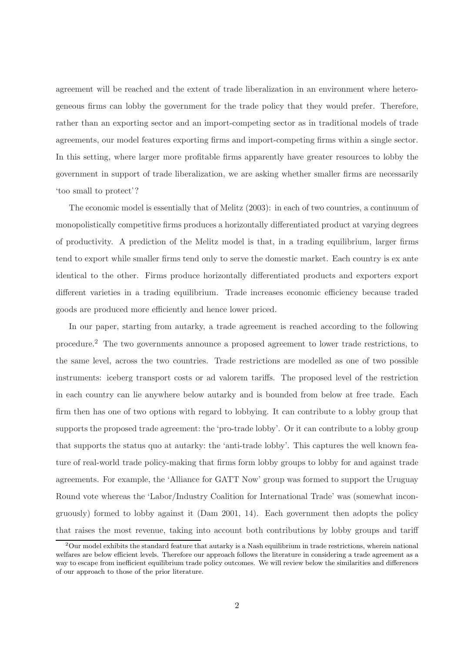agreement will be reached and the extent of trade liberalization in an environment where heterogeneous firms can lobby the government for the trade policy that they would prefer. Therefore, rather than an exporting sector and an import-competing sector as in traditional models of trade agreements, our model features exporting firms and import-competing firms within a single sector. In this setting, where larger more profitable firms apparently have greater resources to lobby the government in support of trade liberalization, we are asking whether smaller firms are necessarily 'too small to protect'?

The economic model is essentially that of Melitz (2003): in each of two countries, a continuum of monopolistically competitive firms produces a horizontally differentiated product at varying degrees of productivity. A prediction of the Melitz model is that, in a trading equilibrium, larger firms tend to export while smaller firms tend only to serve the domestic market. Each country is ex ante identical to the other. Firms produce horizontally differentiated products and exporters export different varieties in a trading equilibrium. Trade increases economic efficiency because traded goods are produced more efficiently and hence lower priced.

In our paper, starting from autarky, a trade agreement is reached according to the following procedure.<sup>2</sup> The two governments announce a proposed agreement to lower trade restrictions, to the same level, across the two countries. Trade restrictions are modelled as one of two possible instruments: iceberg transport costs or ad valorem tariffs. The proposed level of the restriction in each country can lie anywhere below autarky and is bounded from below at free trade. Each firm then has one of two options with regard to lobbying. It can contribute to a lobby group that supports the proposed trade agreement: the 'pro-trade lobby'. Or it can contribute to a lobby group that supports the status quo at autarky: the 'anti-trade lobby'. This captures the well known feature of real-world trade policy-making that firms form lobby groups to lobby for and against trade agreements. For example, the 'Alliance for GATT Now' group was formed to support the Uruguay Round vote whereas the 'Labor/Industry Coalition for International Trade' was (somewhat incongruously) formed to lobby against it (Dam 2001, 14). Each government then adopts the policy that raises the most revenue, taking into account both contributions by lobby groups and tariff

 $2$ Our model exhibits the standard feature that autarky is a Nash equilibrium in trade restrictions, wherein national welfares are below efficient levels. Therefore our approach follows the literature in considering a trade agreement as a way to escape from inefficient equilibrium trade policy outcomes. We will review below the similarities and differences of our approach to those of the prior literature.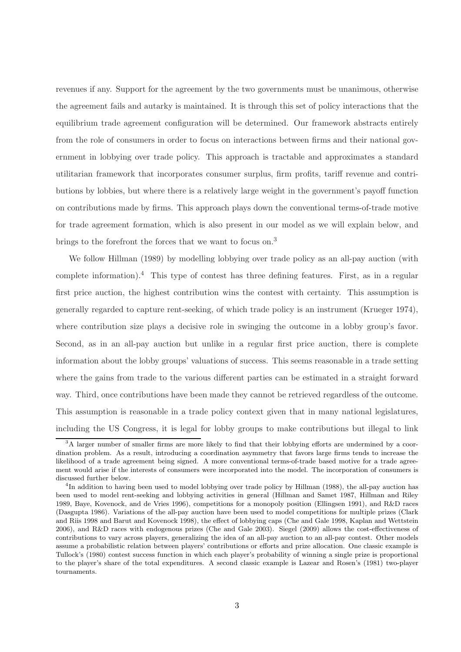revenues if any. Support for the agreement by the two governments must be unanimous, otherwise the agreement fails and autarky is maintained. It is through this set of policy interactions that the equilibrium trade agreement configuration will be determined. Our framework abstracts entirely from the role of consumers in order to focus on interactions between firms and their national government in lobbying over trade policy. This approach is tractable and approximates a standard utilitarian framework that incorporates consumer surplus, firm profits, tariff revenue and contributions by lobbies, but where there is a relatively large weight in the government's payoff function on contributions made by firms. This approach plays down the conventional terms-of-trade motive for trade agreement formation, which is also present in our model as we will explain below, and brings to the forefront the forces that we want to focus on.<sup>3</sup>

We follow Hillman (1989) by modelling lobbying over trade policy as an all-pay auction (with complete information).<sup>4</sup> This type of contest has three defining features. First, as in a regular first price auction, the highest contribution wins the contest with certainty. This assumption is generally regarded to capture rent-seeking, of which trade policy is an instrument (Krueger 1974), where contribution size plays a decisive role in swinging the outcome in a lobby group's favor. Second, as in an all-pay auction but unlike in a regular first price auction, there is complete information about the lobby groups' valuations of success. This seems reasonable in a trade setting where the gains from trade to the various different parties can be estimated in a straight forward way. Third, once contributions have been made they cannot be retrieved regardless of the outcome. This assumption is reasonable in a trade policy context given that in many national legislatures, including the US Congress, it is legal for lobby groups to make contributions but illegal to link

<sup>&</sup>lt;sup>3</sup>A larger number of smaller firms are more likely to find that their lobbying efforts are undermined by a coordination problem. As a result, introducing a coordination asymmetry that favors large firms tends to increase the likelihood of a trade agreement being signed. A more conventional terms-of-trade based motive for a trade agreement would arise if the interests of consumers were incorporated into the model. The incorporation of consumers is discussed further below.

<sup>&</sup>lt;sup>4</sup>In addition to having been used to model lobbying over trade policy by Hillman (1988), the all-pay auction has been used to model rent-seeking and lobbying activities in general (Hillman and Samet 1987, Hillman and Riley 1989, Baye, Kovenock, and de Vries 1996), competitions for a monopoly position (Ellingsen 1991), and R&D races (Dasgupta 1986). Variations of the all-pay auction have been used to model competitions for multiple prizes (Clark and Riis 1998 and Barut and Kovenock 1998), the effect of lobbying caps (Che and Gale 1998, Kaplan and Wettstein 2006), and R&D races with endogenous prizes (Che and Gale 2003). Siegel (2009) allows the cost-effectiveness of contributions to vary across players, generalizing the idea of an all-pay auction to an all-pay contest. Other models assume a probabilistic relation between players' contributions or efforts and prize allocation. One classic example is Tullock's (1980) contest success function in which each player's probability of winning a single prize is proportional to the player's share of the total expenditures. A second classic example is Lazear and Rosen's (1981) two-player tournaments.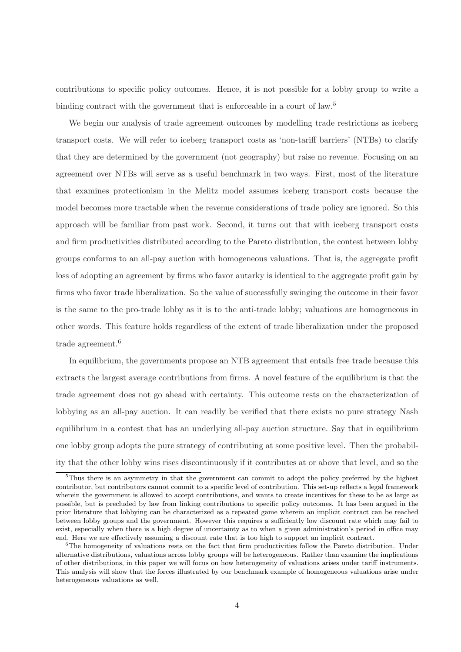contributions to specific policy outcomes. Hence, it is not possible for a lobby group to write a binding contract with the government that is enforceable in a court of law.<sup>5</sup>

We begin our analysis of trade agreement outcomes by modelling trade restrictions as iceberg transport costs. We will refer to iceberg transport costs as 'non-tariff barriers' (NTBs) to clarify that they are determined by the government (not geography) but raise no revenue. Focusing on an agreement over NTBs will serve as a useful benchmark in two ways. First, most of the literature that examines protectionism in the Melitz model assumes iceberg transport costs because the model becomes more tractable when the revenue considerations of trade policy are ignored. So this approach will be familiar from past work. Second, it turns out that with iceberg transport costs and firm productivities distributed according to the Pareto distribution, the contest between lobby groups conforms to an all-pay auction with homogeneous valuations. That is, the aggregate profit loss of adopting an agreement by firms who favor autarky is identical to the aggregate profit gain by firms who favor trade liberalization. So the value of successfully swinging the outcome in their favor is the same to the pro-trade lobby as it is to the anti-trade lobby; valuations are homogeneous in other words. This feature holds regardless of the extent of trade liberalization under the proposed trade agreement.<sup>6</sup>

In equilibrium, the governments propose an NTB agreement that entails free trade because this extracts the largest average contributions from firms. A novel feature of the equilibrium is that the trade agreement does not go ahead with certainty. This outcome rests on the characterization of lobbying as an all-pay auction. It can readily be verified that there exists no pure strategy Nash equilibrium in a contest that has an underlying all-pay auction structure. Say that in equilibrium one lobby group adopts the pure strategy of contributing at some positive level. Then the probability that the other lobby wins rises discontinuously if it contributes at or above that level, and so the

 $5$ Thus there is an asymmetry in that the government can commit to adopt the policy preferred by the highest contributor, but contributors cannot commit to a specific level of contribution. This set-up reflects a legal framework wherein the government is allowed to accept contributions, and wants to create incentives for these to be as large as possible, but is precluded by law from linking contributions to specific policy outcomes. It has been argued in the prior literature that lobbying can be characterized as a repeated game wherein an implicit contract can be reached between lobby groups and the government. However this requires a sufficiently low discount rate which may fail to exist, especially when there is a high degree of uncertainty as to when a given administration's period in office may end. Here we are effectively assuming a discount rate that is too high to support an implicit contract.

 ${}^{6}$ The homogeneity of valuations rests on the fact that firm productivities follow the Pareto distribution. Under alternative distributions, valuations across lobby groups will be heterogeneous. Rather than examine the implications of other distributions, in this paper we will focus on how heterogeneity of valuations arises under tariff instruments. This analysis will show that the forces illustrated by our benchmark example of homogeneous valuations arise under heterogeneous valuations as well.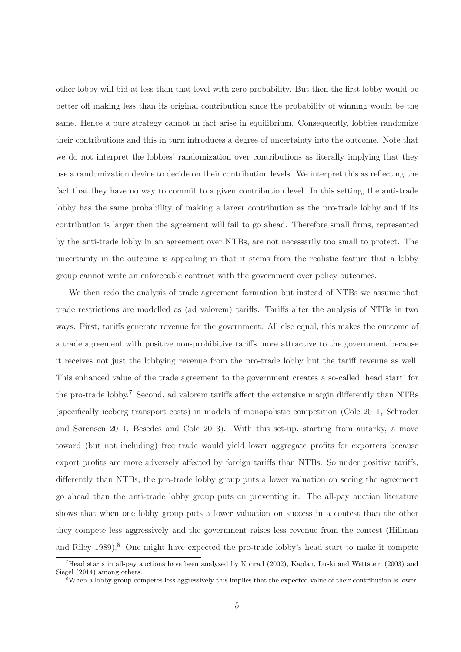other lobby will bid at less than that level with zero probability. But then the first lobby would be better off making less than its original contribution since the probability of winning would be the same. Hence a pure strategy cannot in fact arise in equilibrium. Consequently, lobbies randomize their contributions and this in turn introduces a degree of uncertainty into the outcome. Note that we do not interpret the lobbies' randomization over contributions as literally implying that they use a randomization device to decide on their contribution levels. We interpret this as reflecting the fact that they have no way to commit to a given contribution level. In this setting, the anti-trade lobby has the same probability of making a larger contribution as the pro-trade lobby and if its contribution is larger then the agreement will fail to go ahead. Therefore small firms, represented by the anti-trade lobby in an agreement over NTBs, are not necessarily too small to protect. The uncertainty in the outcome is appealing in that it stems from the realistic feature that a lobby group cannot write an enforceable contract with the government over policy outcomes.

We then redo the analysis of trade agreement formation but instead of NTBs we assume that trade restrictions are modelled as (ad valorem) tariffs. Tariffs alter the analysis of NTBs in two ways. First, tariffs generate revenue for the government. All else equal, this makes the outcome of a trade agreement with positive non-prohibitive tariffs more attractive to the government because it receives not just the lobbying revenue from the pro-trade lobby but the tariff revenue as well. This enhanced value of the trade agreement to the government creates a so-called 'head start' for the pro-trade lobby.<sup>7</sup> Second, ad valorem tariffs affect the extensive margin differently than NTBs  $(s$  pecifically iceberg transport costs) in models of monopolistic competition (Cole 2011, Schröder and Sørensen 2011, Besedeš and Cole 2013). With this set-up, starting from autarky, a move toward (but not including) free trade would yield lower aggregate profits for exporters because export profits are more adversely affected by foreign tariffs than NTBs. So under positive tariffs, differently than NTBs, the pro-trade lobby group puts a lower valuation on seeing the agreement go ahead than the anti-trade lobby group puts on preventing it. The all-pay auction literature shows that when one lobby group puts a lower valuation on success in a contest than the other they compete less aggressively and the government raises less revenue from the contest (Hillman and Riley 1989).<sup>8</sup> One might have expected the pro-trade lobby's head start to make it compete

<sup>7</sup>Head starts in all-pay auctions have been analyzed by Konrad (2002), Kaplan, Luski and Wettstein (2003) and Siegel (2014) among others.

 $8$ When a lobby group competes less aggressively this implies that the expected value of their contribution is lower.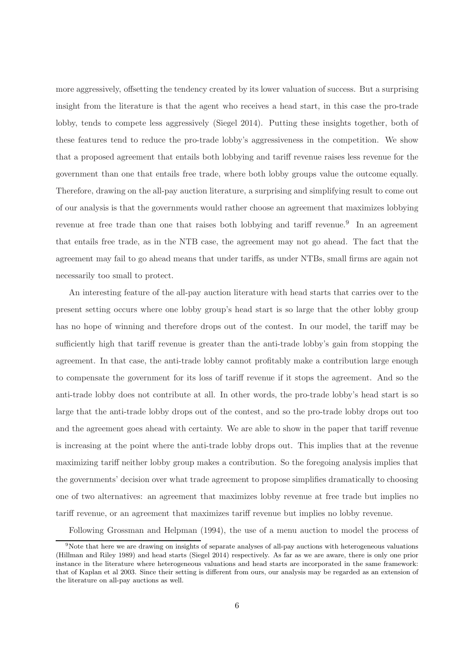more aggressively, offsetting the tendency created by its lower valuation of success. But a surprising insight from the literature is that the agent who receives a head start, in this case the pro-trade lobby, tends to compete less aggressively (Siegel 2014). Putting these insights together, both of these features tend to reduce the pro-trade lobby's aggressiveness in the competition. We show that a proposed agreement that entails both lobbying and tariff revenue raises less revenue for the government than one that entails free trade, where both lobby groups value the outcome equally. Therefore, drawing on the all-pay auction literature, a surprising and simplifying result to come out of our analysis is that the governments would rather choose an agreement that maximizes lobbying revenue at free trade than one that raises both lobbying and tariff revenue.<sup>9</sup> In an agreement that entails free trade, as in the NTB case, the agreement may not go ahead. The fact that the agreement may fail to go ahead means that under tariffs, as under NTBs, small firms are again not necessarily too small to protect.

An interesting feature of the all-pay auction literature with head starts that carries over to the present setting occurs where one lobby group's head start is so large that the other lobby group has no hope of winning and therefore drops out of the contest. In our model, the tariff may be sufficiently high that tariff revenue is greater than the anti-trade lobby's gain from stopping the agreement. In that case, the anti-trade lobby cannot profitably make a contribution large enough to compensate the government for its loss of tariff revenue if it stops the agreement. And so the anti-trade lobby does not contribute at all. In other words, the pro-trade lobby's head start is so large that the anti-trade lobby drops out of the contest, and so the pro-trade lobby drops out too and the agreement goes ahead with certainty. We are able to show in the paper that tariff revenue is increasing at the point where the anti-trade lobby drops out. This implies that at the revenue maximizing tariff neither lobby group makes a contribution. So the foregoing analysis implies that the governments' decision over what trade agreement to propose simplifies dramatically to choosing one of two alternatives: an agreement that maximizes lobby revenue at free trade but implies no tariff revenue, or an agreement that maximizes tariff revenue but implies no lobby revenue.

Following Grossman and Helpman (1994), the use of a menu auction to model the process of

<sup>&</sup>lt;sup>9</sup>Note that here we are drawing on insights of separate analyses of all-pay auctions with heterogeneous valuations (Hillman and Riley 1989) and head starts (Siegel 2014) respectively. As far as we are aware, there is only one prior instance in the literature where heterogeneous valuations and head starts are incorporated in the same framework: that of Kaplan et al 2003. Since their setting is different from ours, our analysis may be regarded as an extension of the literature on all-pay auctions as well.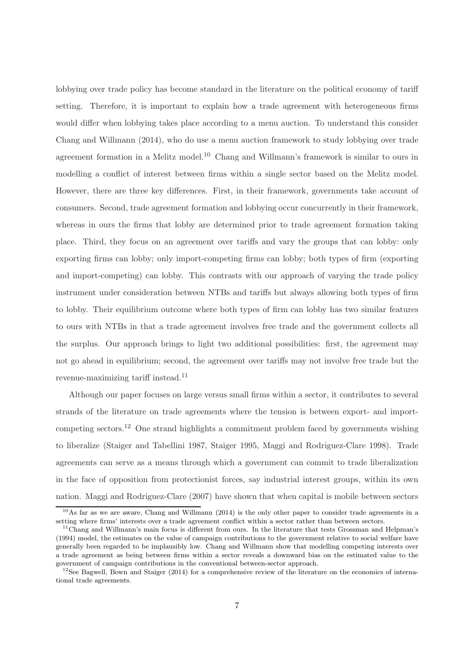lobbying over trade policy has become standard in the literature on the political economy of tariff setting. Therefore, it is important to explain how a trade agreement with heterogeneous firms would differ when lobbying takes place according to a menu auction. To understand this consider Chang and Willmann (2014), who do use a menu auction framework to study lobbying over trade agreement formation in a Melitz model.<sup>10</sup> Chang and Willmann's framework is similar to ours in modelling a conflict of interest between firms within a single sector based on the Melitz model. However, there are three key differences. First, in their framework, governments take account of consumers. Second, trade agreement formation and lobbying occur concurrently in their framework, whereas in ours the firms that lobby are determined prior to trade agreement formation taking place. Third, they focus on an agreement over tariffs and vary the groups that can lobby: only exporting firms can lobby; only import-competing firms can lobby; both types of firm (exporting and import-competing) can lobby. This contrasts with our approach of varying the trade policy instrument under consideration between NTBs and tariffs but always allowing both types of firm to lobby. Their equilibrium outcome where both types of firm can lobby has two similar features to ours with NTBs in that a trade agreement involves free trade and the government collects all the surplus. Our approach brings to light two additional possibilities: first, the agreement may not go ahead in equilibrium; second, the agreement over tariffs may not involve free trade but the revenue-maximizing tariff instead.<sup>11</sup>

Although our paper focuses on large versus small firms within a sector, it contributes to several strands of the literature on trade agreements where the tension is between export- and importcompeting sectors.<sup>12</sup> One strand highlights a commitment problem faced by governments wishing to liberalize (Staiger and Tabellini 1987, Staiger 1995, Maggi and Rodriguez-Clare 1998). Trade agreements can serve as a means through which a government can commit to trade liberalization in the face of opposition from protectionist forces, say industrial interest groups, within its own nation. Maggi and Rodriguez-Clare (2007) have shown that when capital is mobile between sectors

<sup>10</sup>As far as we are aware, Chang and Willmann (2014) is the only other paper to consider trade agreements in a setting where firms' interests over a trade agreement conflict within a sector rather than between sectors.

<sup>&</sup>lt;sup>11</sup>Chang and Willmann's main focus is different from ours. In the literature that tests Grossman and Helpman's (1994) model, the estimates on the value of campaign contributions to the government relative to social welfare have generally been regarded to be implausibly low. Chang and Willmann show that modelling competing interests over a trade agreement as being between firms within a sector reveals a downward bias on the estimated value to the government of campaign contributions in the conventional between-sector approach.

<sup>&</sup>lt;sup>12</sup>See Bagwell, Bown and Staiger (2014) for a comprehensive review of the literature on the economics of international trade agreements.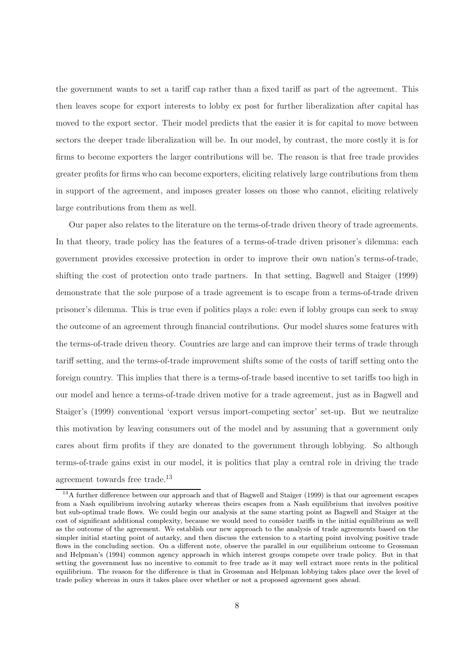the government wants to set a tariff cap rather than a fixed tariff as part of the agreement. This then leaves scope for export interests to lobby ex post for further liberalization after capital has moved to the export sector. Their model predicts that the easier it is for capital to move between sectors the deeper trade liberalization will be. In our model, by contrast, the more costly it is for firms to become exporters the larger contributions will be. The reason is that free trade provides greater profits for firms who can become exporters, eliciting relatively large contributions from them in support of the agreement, and imposes greater losses on those who cannot, eliciting relatively large contributions from them as well.

Our paper also relates to the literature on the terms-of-trade driven theory of trade agreements. In that theory, trade policy has the features of a terms-of-trade driven prisoner's dilemma: each government provides excessive protection in order to improve their own nation's terms-of-trade, shifting the cost of protection onto trade partners. In that setting, Bagwell and Staiger (1999) demonstrate that the sole purpose of a trade agreement is to escape from a terms-of-trade driven prisoner's dilemma. This is true even if politics plays a role: even if lobby groups can seek to sway the outcome of an agreement through financial contributions. Our model shares some features with the terms-of-trade driven theory. Countries are large and can improve their terms of trade through tariff setting, and the terms-of-trade improvement shifts some of the costs of tariff setting onto the foreign country. This implies that there is a terms-of-trade based incentive to set tariffs too high in our model and hence a terms-of-trade driven motive for a trade agreement, just as in Bagwell and Staiger's (1999) conventional 'export versus import-competing sector' set-up. But we neutralize this motivation by leaving consumers out of the model and by assuming that a government only cares about firm profits if they are donated to the government through lobbying. So although terms-of-trade gains exist in our model, it is politics that play a central role in driving the trade agreement towards free trade. $^{13}$ 

<sup>&</sup>lt;sup>13</sup>A further difference between our approach and that of Bagwell and Staiger (1999) is that our agreement escapes from a Nash equilibrium involving autarky whereas theirs escapes from a Nash equilibrium that involves positive but sub-optimal trade flows. We could begin our analysis at the same starting point as Bagwell and Staiger at the cost of significant additional complexity, because we would need to consider tariffs in the initial equilibrium as well as the outcome of the agreement. We establish our new approach to the analysis of trade agreements based on the simpler initial starting point of autarky, and then discuss the extension to a starting point involving positive trade flows in the concluding section. On a different note, observe the parallel in our equilibrium outcome to Grossman and Helpman's (1994) common agency approach in which interest groups compete over trade policy. But in that setting the government has no incentive to commit to free trade as it may well extract more rents in the political equilibrium. The reason for the difference is that in Grossman and Helpman lobbying takes place over the level of trade policy whereas in ours it takes place over whether or not a proposed agreement goes ahead.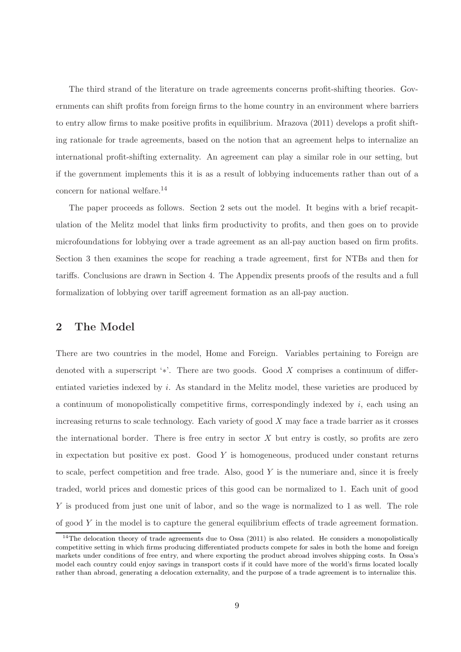The third strand of the literature on trade agreements concerns profit-shifting theories. Governments can shift profits from foreign firms to the home country in an environment where barriers to entry allow firms to make positive profits in equilibrium. Mrazova (2011) develops a profit shifting rationale for trade agreements, based on the notion that an agreement helps to internalize an international profit-shifting externality. An agreement can play a similar role in our setting, but if the government implements this it is as a result of lobbying inducements rather than out of a concern for national welfare.<sup>14</sup>

The paper proceeds as follows. Section 2 sets out the model. It begins with a brief recapitulation of the Melitz model that links firm productivity to profits, and then goes on to provide microfoundations for lobbying over a trade agreement as an all-pay auction based on firm profits. Section 3 then examines the scope for reaching a trade agreement, first for NTBs and then for tariffs. Conclusions are drawn in Section 4. The Appendix presents proofs of the results and a full formalization of lobbying over tariff agreement formation as an all-pay auction.

# 2 The Model

There are two countries in the model, Home and Foreign. Variables pertaining to Foreign are denoted with a superscript ' $*$ '. There are two goods. Good X comprises a continuum of differentiated varieties indexed by i. As standard in the Melitz model, these varieties are produced by a continuum of monopolistically competitive firms, correspondingly indexed by  $i$ , each using an increasing returns to scale technology. Each variety of good  $X$  may face a trade barrier as it crosses the international border. There is free entry in sector  $X$  but entry is costly, so profits are zero in expectation but positive ex post. Good  $Y$  is homogeneous, produced under constant returns to scale, perfect competition and free trade. Also, good  $Y$  is the numeriare and, since it is freely traded, world prices and domestic prices of this good can be normalized to 1. Each unit of good Y is produced from just one unit of labor, and so the wage is normalized to 1 as well. The role of good  $Y$  in the model is to capture the general equilibrium effects of trade agreement formation.

 $14$ The delocation theory of trade agreements due to Ossa (2011) is also related. He considers a monopolistically competitive setting in which firms producing differentiated products compete for sales in both the home and foreign markets under conditions of free entry, and where exporting the product abroad involves shipping costs. In Ossa's model each country could enjoy savings in transport costs if it could have more of the world's firms located locally rather than abroad, generating a delocation externality, and the purpose of a trade agreement is to internalize this.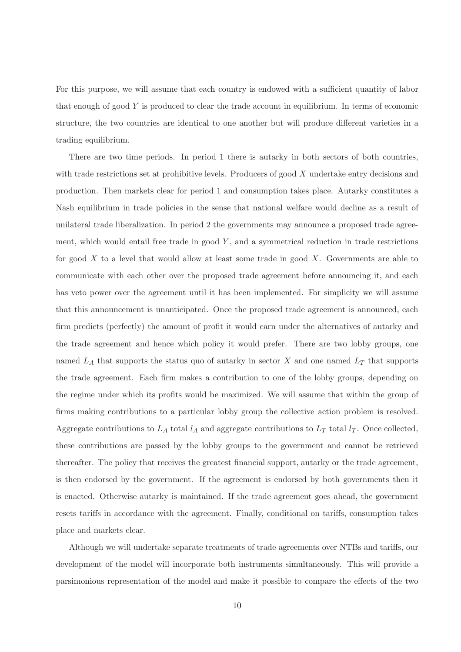For this purpose, we will assume that each country is endowed with a sufficient quantity of labor that enough of good Y is produced to clear the trade account in equilibrium. In terms of economic structure, the two countries are identical to one another but will produce different varieties in a trading equilibrium.

There are two time periods. In period 1 there is autarky in both sectors of both countries, with trade restrictions set at prohibitive levels. Producers of good X undertake entry decisions and production. Then markets clear for period 1 and consumption takes place. Autarky constitutes a Nash equilibrium in trade policies in the sense that national welfare would decline as a result of unilateral trade liberalization. In period 2 the governments may announce a proposed trade agreement, which would entail free trade in good  $Y$ , and a symmetrical reduction in trade restrictions for good  $X$  to a level that would allow at least some trade in good  $X$ . Governments are able to communicate with each other over the proposed trade agreement before announcing it, and each has veto power over the agreement until it has been implemented. For simplicity we will assume that this announcement is unanticipated. Once the proposed trade agreement is announced, each firm predicts (perfectly) the amount of profit it would earn under the alternatives of autarky and the trade agreement and hence which policy it would prefer. There are two lobby groups, one named  $L_A$  that supports the status quo of autarky in sector X and one named  $L_T$  that supports the trade agreement. Each firm makes a contribution to one of the lobby groups, depending on the regime under which its profits would be maximized. We will assume that within the group of firms making contributions to a particular lobby group the collective action problem is resolved. Aggregate contributions to  $L_A$  total  $l_A$  and aggregate contributions to  $L_T$  total  $l_T$ . Once collected, these contributions are passed by the lobby groups to the government and cannot be retrieved thereafter. The policy that receives the greatest financial support, autarky or the trade agreement, is then endorsed by the government. If the agreement is endorsed by both governments then it is enacted. Otherwise autarky is maintained. If the trade agreement goes ahead, the government resets tariffs in accordance with the agreement. Finally, conditional on tariffs, consumption takes place and markets clear.

Although we will undertake separate treatments of trade agreements over NTBs and tariffs, our development of the model will incorporate both instruments simultaneously. This will provide a parsimonious representation of the model and make it possible to compare the effects of the two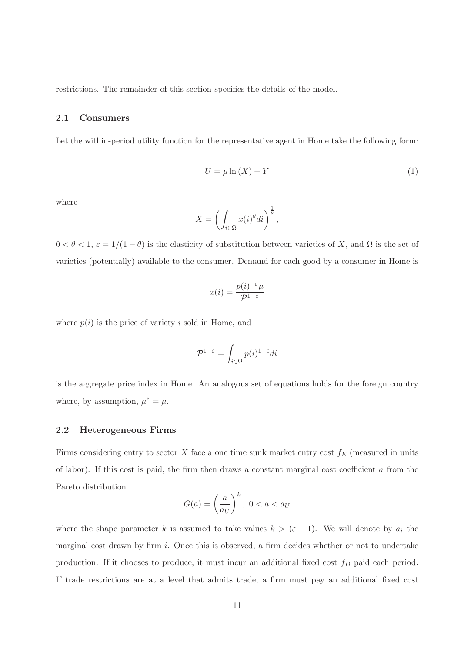restrictions. The remainder of this section specifies the details of the model.

#### 2.1 Consumers

Let the within-period utility function for the representative agent in Home take the following form:

$$
U = \mu \ln(X) + Y \tag{1}
$$

where

$$
X = \left(\int_{i \in \Omega} x(i)^{\theta} di\right)^{\frac{1}{\theta}},
$$

 $0 < \theta < 1$ ,  $\varepsilon = 1/(1 - \theta)$  is the elasticity of substitution between varieties of X, and  $\Omega$  is the set of varieties (potentially) available to the consumer. Demand for each good by a consumer in Home is

$$
x(i) = \frac{p(i)^{-\varepsilon}\mu}{\mathcal{P}^{1-\varepsilon}}
$$

where  $p(i)$  is the price of variety i sold in Home, and

$$
\mathcal{P}^{1-\varepsilon} = \int_{i \in \Omega} p(i)^{1-\varepsilon} di
$$

is the aggregate price index in Home. An analogous set of equations holds for the foreign country where, by assumption,  $\mu^* = \mu$ .

#### 2.2 Heterogeneous Firms

Firms considering entry to sector  $X$  face a one time sunk market entry cost  $f_E$  (measured in units of labor). If this cost is paid, the firm then draws a constant marginal cost coefficient  $\alpha$  from the Pareto distribution

$$
G(a) = \left(\frac{a}{a_U}\right)^k, \ 0 < a < a_U
$$

where the shape parameter k is assumed to take values  $k > (\varepsilon - 1)$ . We will denote by  $a_i$  the marginal cost drawn by firm  $i$ . Once this is observed, a firm decides whether or not to undertake production. If it chooses to produce, it must incur an additional fixed cost  $f<sub>D</sub>$  paid each period. If trade restrictions are at a level that admits trade, a firm must pay an additional fixed cost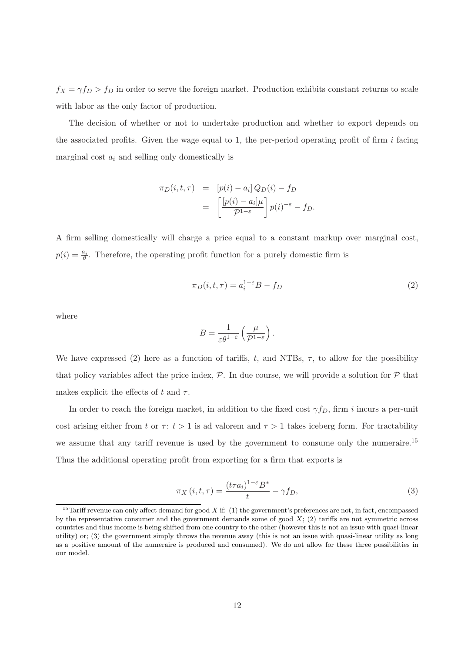$f_X = \gamma f_D > f_D$  in order to serve the foreign market. Production exhibits constant returns to scale with labor as the only factor of production.

The decision of whether or not to undertake production and whether to export depends on the associated profits. Given the wage equal to 1, the per-period operating profit of firm  $i$  facing marginal cost  $a_i$  and selling only domestically is

$$
\pi_D(i, t, \tau) = [p(i) - a_i] Q_D(i) - f_D
$$

$$
= \left[ \frac{[p(i) - a_i] \mu}{\mathcal{P}^{1-\varepsilon}} \right] p(i)^{-\varepsilon} - f_D.
$$

A firm selling domestically will charge a price equal to a constant markup over marginal cost,  $p(i) = \frac{a_i}{\theta}$ . Therefore, the operating profit function for a purely domestic firm is

$$
\pi_D(i, t, \tau) = a_i^{1-\epsilon} B - f_D \tag{2}
$$

where

$$
B = \frac{1}{\varepsilon \theta^{1-\varepsilon}} \left( \frac{\mu}{\mathcal{P}^{1-\varepsilon}} \right).
$$

We have expressed (2) here as a function of tariffs, t, and NTBs,  $\tau$ , to allow for the possibility that policy variables affect the price index,  $P$ . In due course, we will provide a solution for  $P$  that makes explicit the effects of t and  $\tau$ .

In order to reach the foreign market, in addition to the fixed cost  $\gamma f_D$ , firm i incurs a per-unit cost arising either from t or  $\tau: t > 1$  is ad valorem and  $\tau > 1$  takes iceberg form. For tractability we assume that any tariff revenue is used by the government to consume only the numeraire.<sup>15</sup> Thus the additional operating profit from exporting for a firm that exports is

$$
\pi_X(i, t, \tau) = \frac{(t\tau a_i)^{1-\varepsilon} B^*}{t} - \gamma f_D,\tag{3}
$$

<sup>&</sup>lt;sup>15</sup>Tariff revenue can only affect demand for good X if: (1) the government's preferences are not, in fact, encompassed by the representative consumer and the government demands some of good  $X$ ; (2) tariffs are not symmetric across countries and thus income is being shifted from one country to the other (however this is not an issue with quasi-linear utility) or; (3) the government simply throws the revenue away (this is not an issue with quasi-linear utility as long as a positive amount of the numeraire is produced and consumed). We do not allow for these three possibilities in our model.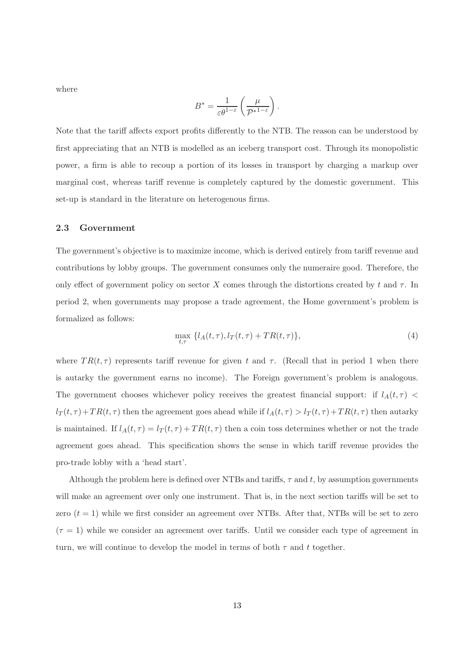where

$$
B^* = \frac{1}{\varepsilon \theta^{1-\varepsilon}} \left( \frac{\mu}{\mathcal{P}^{*1-\varepsilon}} \right).
$$

Note that the tariff affects export profits differently to the NTB. The reason can be understood by first appreciating that an NTB is modelled as an iceberg transport cost. Through its monopolistic power, a firm is able to recoup a portion of its losses in transport by charging a markup over marginal cost, whereas tariff revenue is completely captured by the domestic government. This set-up is standard in the literature on heterogenous firms.

#### 2.3 Government

The government's objective is to maximize income, which is derived entirely from tariff revenue and contributions by lobby groups. The government consumes only the numeraire good. Therefore, the only effect of government policy on sector X comes through the distortions created by t and  $\tau$ . In period 2, when governments may propose a trade agreement, the Home government's problem is formalized as follows:

$$
\max_{t,\tau} \{l_A(t,\tau), l_T(t,\tau) + TR(t,\tau)\},\tag{4}
$$

where  $TR(t, \tau)$  represents tariff revenue for given t and  $\tau$ . (Recall that in period 1 when there is autarky the government earns no income). The Foreign government's problem is analogous. The government chooses whichever policy receives the greatest financial support: if  $l_A(t, \tau)$  <  $l_T(t, \tau) + TR(t, \tau)$  then the agreement goes ahead while if  $l_A(t, \tau) > l_T(t, \tau) + TR(t, \tau)$  then autarky is maintained. If  $l_A(t, \tau) = l_T(t, \tau) + TR(t, \tau)$  then a coin toss determines whether or not the trade agreement goes ahead. This specification shows the sense in which tariff revenue provides the pro-trade lobby with a 'head start'.

Although the problem here is defined over NTBs and tariffs,  $\tau$  and t, by assumption governments will make an agreement over only one instrument. That is, in the next section tariffs will be set to zero  $(t = 1)$  while we first consider an agreement over NTBs. After that, NTBs will be set to zero  $(\tau = 1)$  while we consider an agreement over tariffs. Until we consider each type of agreement in turn, we will continue to develop the model in terms of both  $\tau$  and t together.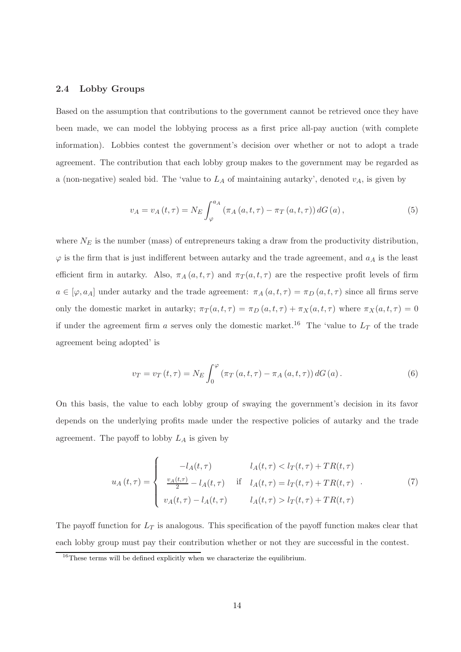#### 2.4 Lobby Groups

Based on the assumption that contributions to the government cannot be retrieved once they have been made, we can model the lobbying process as a first price all-pay auction (with complete information). Lobbies contest the government's decision over whether or not to adopt a trade agreement. The contribution that each lobby group makes to the government may be regarded as a (non-negative) sealed bid. The 'value to  $L_A$  of maintaining autarky', denoted  $v_A$ , is given by

$$
v_A = v_A(t, \tau) = N_E \int_{\varphi}^{a_A} (\pi_A(a, t, \tau) - \pi_T(a, t, \tau)) dG(a), \qquad (5)
$$

where  $N_E$  is the number (mass) of entrepreneurs taking a draw from the productivity distribution,  $\varphi$  is the firm that is just indifferent between autarky and the trade agreement, and  $a_A$  is the least efficient firm in autarky. Also,  $\pi_A(a, t, \tau)$  and  $\pi_T(a, t, \tau)$  are the respective profit levels of firm  $a \in [\varphi, a_A]$  under autarky and the trade agreement:  $\pi_A(a, t, \tau) = \pi_D(a, t, \tau)$  since all firms serve only the domestic market in autarky;  $\pi_T(a, t, \tau) = \pi_D(a, t, \tau) + \pi_X(a, t, \tau)$  where  $\pi_X(a, t, \tau) = 0$ if under the agreement firm a serves only the domestic market.<sup>16</sup> The 'value to  $L_T$  of the trade agreement being adopted' is

$$
v_T = v_T(t, \tau) = N_E \int_0^{\varphi} \left( \pi_T(a, t, \tau) - \pi_A(a, t, \tau) \right) dG(a). \tag{6}
$$

On this basis, the value to each lobby group of swaying the government's decision in its favor depends on the underlying profits made under the respective policies of autarky and the trade agreement. The payoff to lobby  $L_A$  is given by

$$
u_A(t,\tau) = \begin{cases}\n-l_A(t,\tau) & l_A(t,\tau) < l_T(t,\tau) + TR(t,\tau) \\
\frac{v_A(t,\tau)}{2} - l_A(t,\tau) & \text{if } l_A(t,\tau) = l_T(t,\tau) + TR(t,\tau) \\
v_A(t,\tau) - l_A(t,\tau) & l_A(t,\tau) > l_T(t,\tau) + TR(t,\tau)\n\end{cases} (7)
$$

The payoff function for  $L_T$  is analogous. This specification of the payoff function makes clear that each lobby group must pay their contribution whether or not they are successful in the contest.

 $16$ These terms will be defined explicitly when we characterize the equilibrium.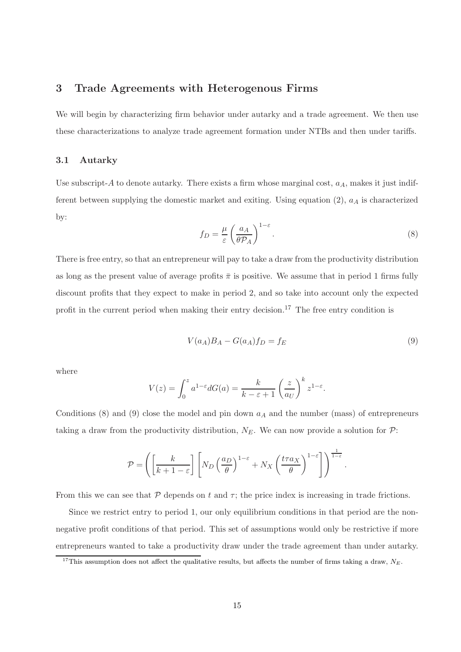### 3 Trade Agreements with Heterogenous Firms

We will begin by characterizing firm behavior under autarky and a trade agreement. We then use these characterizations to analyze trade agreement formation under NTBs and then under tariffs.

#### 3.1 Autarky

Use subscript-A to denote autarky. There exists a firm whose marginal cost,  $a<sub>A</sub>$ , makes it just indifferent between supplying the domestic market and exiting. Using equation  $(2)$ ,  $a<sub>A</sub>$  is characterized by:

$$
f_D = \frac{\mu}{\varepsilon} \left( \frac{a_A}{\theta \mathcal{P}_A} \right)^{1-\varepsilon}.
$$
 (8)

There is free entry, so that an entrepreneur will pay to take a draw from the productivity distribution as long as the present value of average profits  $\bar{\pi}$  is positive. We assume that in period 1 firms fully discount profits that they expect to make in period 2, and so take into account only the expected profit in the current period when making their entry decision. <sup>17</sup> The free entry condition is

$$
V(a_A)B_A - G(a_A)f_D = f_E \tag{9}
$$

where

$$
V(z) = \int_0^z a^{1-\varepsilon} dG(a) = \frac{k}{k-\varepsilon+1} \left(\frac{z}{a_U}\right)^k z^{1-\varepsilon}.
$$

Conditions (8) and (9) close the model and pin down  $a<sub>A</sub>$  and the number (mass) of entrepreneurs taking a draw from the productivity distribution,  $N_E$ . We can now provide a solution for  $\mathcal{P}$ :

$$
\mathcal{P} = \left( \left[ \frac{k}{k+1-\varepsilon} \right] \left[ N_D \left( \frac{a_D}{\theta} \right)^{1-\varepsilon} + N_X \left( \frac{t \tau a_X}{\theta} \right)^{1-\varepsilon} \right] \right)^{\frac{1}{1-\varepsilon}}.
$$

From this we can see that  $P$  depends on t and  $\tau$ ; the price index is increasing in trade frictions.

Since we restrict entry to period 1, our only equilibrium conditions in that period are the nonnegative profit conditions of that period. This set of assumptions would only be restrictive if more entrepreneurs wanted to take a productivity draw under the trade agreement than under autarky.

<sup>&</sup>lt;sup>17</sup>This assumption does not affect the qualitative results, but affects the number of firms taking a draw,  $N_E$ .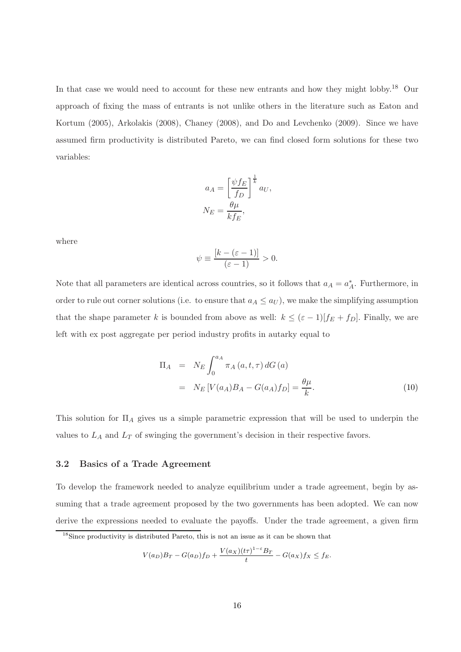In that case we would need to account for these new entrants and how they might lobby.<sup>18</sup> Our approach of fixing the mass of entrants is not unlike others in the literature such as Eaton and Kortum (2005), Arkolakis (2008), Chaney (2008), and Do and Levchenko (2009). Since we have assumed firm productivity is distributed Pareto, we can find closed form solutions for these two variables:

$$
a_A = \left[\frac{\psi f_E}{f_D}\right]^{\frac{1}{k}} a_U,
$$
  

$$
N_E = \frac{\theta \mu}{k f_E},
$$

where

$$
\psi \equiv \frac{[k - (\varepsilon - 1)]}{(\varepsilon - 1)} > 0.
$$

Note that all parameters are identical across countries, so it follows that  $a_A = a_A^*$ . Furthermore, in order to rule out corner solutions (i.e. to ensure that  $a_A \le a_U$ ), we make the simplifying assumption that the shape parameter k is bounded from above as well:  $k \leq (\varepsilon - 1)[f_E + f_D]$ . Finally, we are left with ex post aggregate per period industry profits in autarky equal to

$$
\Pi_A = N_E \int_0^{a_A} \pi_A(a, t, \tau) dG(a)
$$
  
=  $N_E [V(a_A)B_A - G(a_A) f_D] = \frac{\theta \mu}{k}.$  (10)

This solution for  $\Pi_A$  gives us a simple parametric expression that will be used to underpin the values to  $L_A$  and  $L_T$  of swinging the government's decision in their respective favors.

#### 3.2 Basics of a Trade Agreement

To develop the framework needed to analyze equilibrium under a trade agreement, begin by assuming that a trade agreement proposed by the two governments has been adopted. We can now derive the expressions needed to evaluate the payoffs. Under the trade agreement, a given firm

$$
V(a_D)B_T - G(a_D)f_D + \frac{V(a_X)(t\tau)^{1-\varepsilon}B_T}{t} - G(a_X)f_X \le f_E.
$$

<sup>18</sup>Since productivity is distributed Pareto, this is not an issue as it can be shown that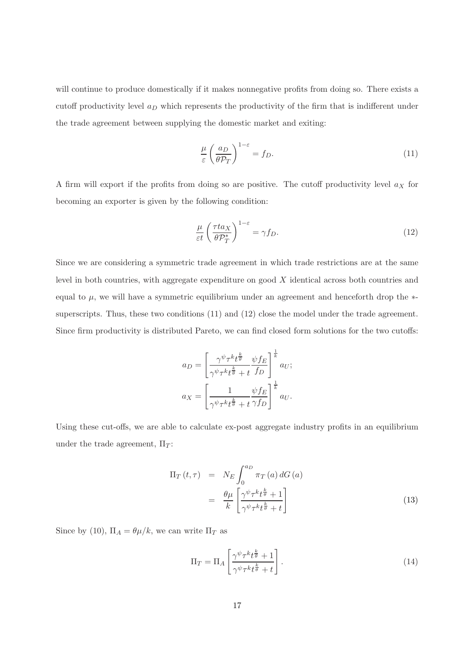will continue to produce domestically if it makes nonnegative profits from doing so. There exists a cutoff productivity level  $a_D$  which represents the productivity of the firm that is indifferent under the trade agreement between supplying the domestic market and exiting:

$$
\frac{\mu}{\varepsilon} \left( \frac{a_D}{\theta \mathcal{P}_T} \right)^{1-\varepsilon} = f_D. \tag{11}
$$

A firm will export if the profits from doing so are positive. The cutoff productivity level  $a<sub>X</sub>$  for becoming an exporter is given by the following condition:

$$
\frac{\mu}{\varepsilon t} \left( \frac{\tau t a_X}{\theta \mathcal{P}_T^*} \right)^{1-\varepsilon} = \gamma f_D. \tag{12}
$$

Since we are considering a symmetric trade agreement in which trade restrictions are at the same level in both countries, with aggregate expenditure on good X identical across both countries and equal to  $\mu$ , we will have a symmetric equilibrium under an agreement and henceforth drop the  $*$ superscripts. Thus, these two conditions (11) and (12) close the model under the trade agreement. Since firm productivity is distributed Pareto, we can find closed form solutions for the two cutoffs:

$$
a_D = \left[\frac{\gamma^{\psi} \tau^k t^{\frac{k}{\theta}}}{\gamma^{\psi} \tau^k t^{\frac{k}{\theta}} + t} \frac{\psi f_E}{f_D}\right]^{\frac{1}{k}} a_U;
$$
  

$$
a_X = \left[\frac{1}{\gamma^{\psi} \tau^k t^{\frac{k}{\theta}} + t} \frac{\psi f_E}{\gamma f_D}\right]^{\frac{1}{k}} a_U.
$$

Using these cut-offs, we are able to calculate ex-post aggregate industry profits in an equilibrium under the trade agreement,  $\Pi_T$ :

$$
\Pi_T(t,\tau) = N_E \int_0^{a_D} \pi_T(a) dG(a)
$$

$$
= \frac{\theta \mu}{k} \left[ \frac{\gamma^{\psi} \tau^k t^{\frac{k}{\theta}} + 1}{\gamma^{\psi} \tau^k t^{\frac{k}{\theta}} + t} \right]
$$
(13)

Since by (10),  $\Pi_A = \theta \mu / k$ , we can write  $\Pi_T$  as

$$
\Pi_T = \Pi_A \left[ \frac{\gamma^{\psi} \tau^k t^{\frac{k}{\theta}} + 1}{\gamma^{\psi} \tau^k t^{\frac{k}{\theta}} + t} \right].
$$
\n(14)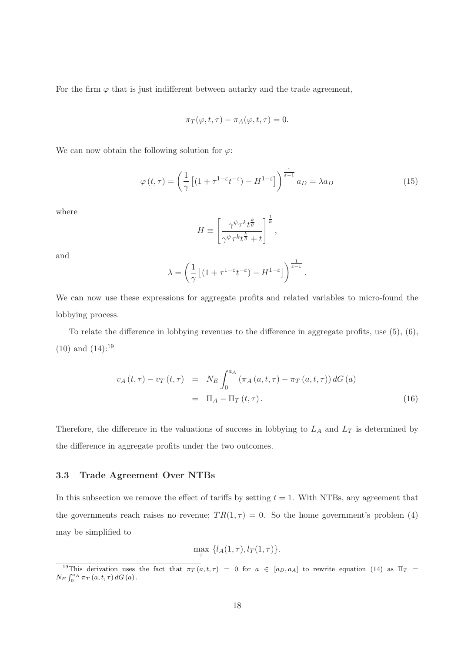For the firm  $\varphi$  that is just indifferent between autarky and the trade agreement,

$$
\pi_T(\varphi, t, \tau) - \pi_A(\varphi, t, \tau) = 0.
$$

We can now obtain the following solution for  $\varphi$ :

$$
\varphi(t,\tau) = \left(\frac{1}{\gamma} \left[ (1 + \tau^{1-\varepsilon} t^{-\varepsilon}) - H^{1-\varepsilon} \right] \right)^{\frac{1}{\varepsilon-1}} a_D = \lambda a_D \tag{15}
$$

where

$$
H \equiv \left[ \frac{\gamma^{\psi} \tau^k t^{\frac{k}{\theta}}}{\gamma^{\psi} \tau^k t^{\frac{k}{\theta}} + t} \right]^{\frac{1}{k}},
$$

and

$$
\lambda = \left(\frac{1}{\gamma} \left[ (1 + \tau^{1-\varepsilon} t^{-\varepsilon}) - H^{1-\varepsilon} \right] \right)^{\frac{1}{\varepsilon-1}}.
$$

We can now use these expressions for aggregate profits and related variables to micro-found the lobbying process.

To relate the difference in lobbying revenues to the difference in aggregate profits, use (5), (6),  $(10)$  and  $(14):^{19}$ 

$$
v_A(t,\tau) - v_T(t,\tau) = N_E \int_0^{a_A} (\pi_A(a,t,\tau) - \pi_T(a,t,\tau)) dG(a)
$$
  
=  $\Pi_A - \Pi_T(t,\tau).$  (16)

Therefore, the difference in the valuations of success in lobbying to  $L_A$  and  $L_T$  is determined by the difference in aggregate profits under the two outcomes.

#### 3.3 Trade Agreement Over NTBs

In this subsection we remove the effect of tariffs by setting  $t = 1$ . With NTBs, any agreement that the governments reach raises no revenue;  $TR(1, \tau) = 0$ . So the home government's problem (4) may be simplified to

$$
\max_{\tau} \{l_A(1,\tau), l_T(1,\tau)\}.
$$

<sup>&</sup>lt;sup>19</sup>This derivation uses the fact that  $\pi_T(a, t, \tau) = 0$  for  $a \in [a_D, a_A]$  to rewrite equation (14) as  $\Pi_T =$  $N_E \int_0^{a_A} \pi_T(a, t, \tau) dG(a)$ .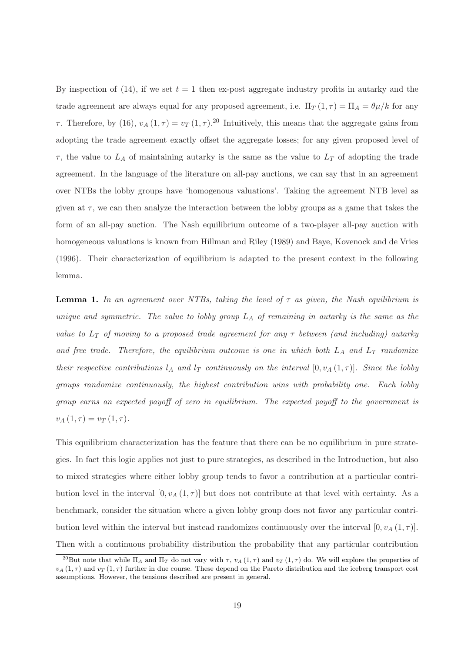By inspection of (14), if we set  $t = 1$  then ex-post aggregate industry profits in autarky and the trade agreement are always equal for any proposed agreement, i.e.  $\Pi_T(1, \tau) = \Pi_A = \theta \mu / k$  for any τ. Therefore, by (16),  $v_A(1, τ) = v_T(1, τ)$ .<sup>20</sup> Intuitively, this means that the aggregate gains from adopting the trade agreement exactly offset the aggregate losses; for any given proposed level of  $\tau$ , the value to  $L_A$  of maintaining autarky is the same as the value to  $L_T$  of adopting the trade agreement. In the language of the literature on all-pay auctions, we can say that in an agreement over NTBs the lobby groups have 'homogenous valuations'. Taking the agreement NTB level as given at  $\tau$ , we can then analyze the interaction between the lobby groups as a game that takes the form of an all-pay auction. The Nash equilibrium outcome of a two-player all-pay auction with homogeneous valuations is known from Hillman and Riley (1989) and Baye, Kovenock and de Vries (1996). Their characterization of equilibrium is adapted to the present context in the following lemma.

**Lemma 1.** In an agreement over NTBs, taking the level of  $\tau$  as given, the Nash equilibrium is unique and symmetric. The value to lobby group  $L_A$  of remaining in autarky is the same as the value to  $L_T$  of moving to a proposed trade agreement for any  $\tau$  between (and including) autarky and free trade. Therefore, the equilibrium outcome is one in which both  $L_A$  and  $L_T$  randomize their respective contributions  $l_A$  and  $l_T$  continuously on the interval  $[0, v_A(1, \tau)].$  Since the lobby groups randomize continuously, the highest contribution wins with probability one. Each lobby group earns an expected payoff of zero in equilibrium. The expected payoff to the government is  $v_A(1,\tau) = v_T(1,\tau).$ 

This equilibrium characterization has the feature that there can be no equilibrium in pure strategies. In fact this logic applies not just to pure strategies, as described in the Introduction, but also to mixed strategies where either lobby group tends to favor a contribution at a particular contribution level in the interval  $[0, v_A(1, \tau)]$  but does not contribute at that level with certainty. As a benchmark, consider the situation where a given lobby group does not favor any particular contribution level within the interval but instead randomizes continuously over the interval  $[0, v_A(1, \tau)].$ Then with a continuous probability distribution the probability that any particular contribution

<sup>&</sup>lt;sup>20</sup>But note that while  $\Pi_A$  and  $\Pi_T$  do not vary with  $\tau$ ,  $v_A$  (1,  $\tau$ ) and  $v_T$  (1,  $\tau$ ) do. We will explore the properties of  $v_A(1,\tau)$  and  $v_T(1,\tau)$  further in due course. These depend on the Pareto distribution and the iceberg transport cost assumptions. However, the tensions described are present in general.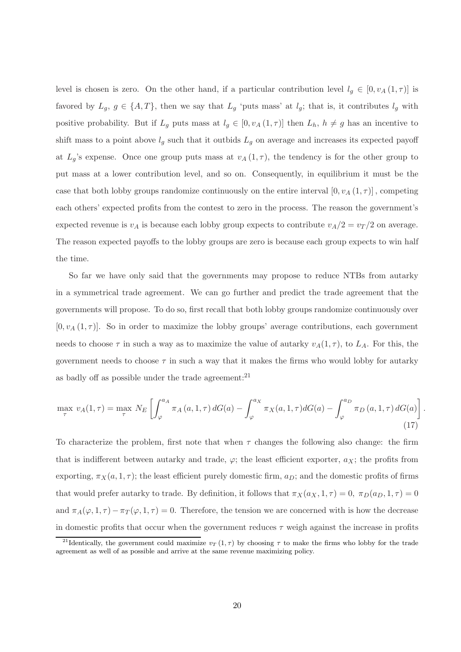level is chosen is zero. On the other hand, if a particular contribution level  $l_g \in [0, v_A(1, \tau)]$  is favored by  $L_g$ ,  $g \in \{A, T\}$ , then we say that  $L_g$  'puts mass' at  $l_g$ ; that is, it contributes  $l_g$  with positive probability. But if  $L_g$  puts mass at  $l_g \in [0, v_A(1, \tau)]$  then  $L_h$ ,  $h \neq g$  has an incentive to shift mass to a point above  $l_g$  such that it outbids  $L_g$  on average and increases its expected payoff at  $L_q$ 's expense. Once one group puts mass at  $v_A(1,\tau)$ , the tendency is for the other group to put mass at a lower contribution level, and so on. Consequently, in equilibrium it must be the case that both lobby groups randomize continuously on the entire interval  $[0, v_A(1, \tau)]$ , competing each others' expected profits from the contest to zero in the process. The reason the government's expected revenue is  $v_A$  is because each lobby group expects to contribute  $v_A/2 = v_T/2$  on average. The reason expected payoffs to the lobby groups are zero is because each group expects to win half the time.

So far we have only said that the governments may propose to reduce NTBs from autarky in a symmetrical trade agreement. We can go further and predict the trade agreement that the governments will propose. To do so, first recall that both lobby groups randomize continuously over  $[0, v_A(1, \tau)]$ . So in order to maximize the lobby groups' average contributions, each government needs to choose  $\tau$  in such a way as to maximize the value of autarky  $v_A(1, \tau)$ , to  $L_A$ . For this, the government needs to choose  $\tau$  in such a way that it makes the firms who would lobby for autarky as badly off as possible under the trade agreement: $^{21}$ 

$$
\max_{\tau} v_A(1,\tau) = \max_{\tau} N_E \left[ \int_{\varphi}^{a_A} \pi_A(a,1,\tau) dG(a) - \int_{\varphi}^{a_X} \pi_X(a,1,\tau) dG(a) - \int_{\varphi}^{a_D} \pi_D(a,1,\tau) dG(a) \right]
$$
\n(17)

.

To characterize the problem, first note that when  $\tau$  changes the following also change: the firm that is indifferent between autarky and trade,  $\varphi$ ; the least efficient exporter,  $a_X$ ; the profits from exporting,  $\pi_X(a, 1, \tau)$ ; the least efficient purely domestic firm,  $a_D$ ; and the domestic profits of firms that would prefer autarky to trade. By definition, it follows that  $\pi_X(a_X, 1, \tau) = 0$ ,  $\pi_D(a_D, 1, \tau) = 0$ and  $\pi_A(\varphi, 1, \tau) - \pi_T(\varphi, 1, \tau) = 0$ . Therefore, the tension we are concerned with is how the decrease in domestic profits that occur when the government reduces  $\tau$  weigh against the increase in profits

<sup>&</sup>lt;sup>21</sup>Identically, the government could maximize  $v_T(1, \tau)$  by choosing  $\tau$  to make the firms who lobby for the trade agreement as well of as possible and arrive at the same revenue maximizing policy.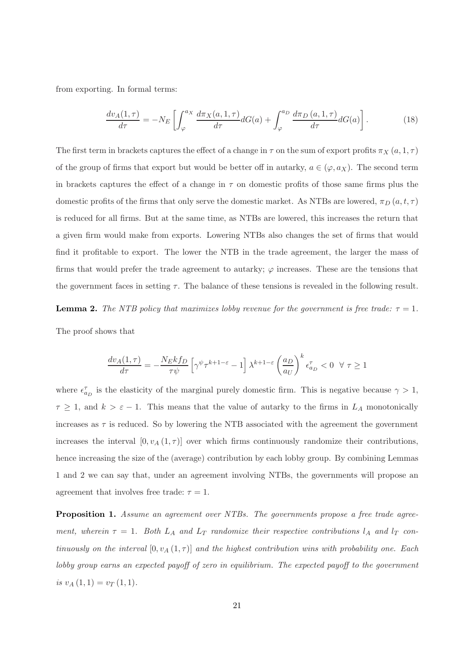from exporting. In formal terms:

$$
\frac{dv_A(1,\tau)}{d\tau} = -N_E \left[ \int_{\varphi}^{a_X} \frac{d\pi_X(a,1,\tau)}{d\tau} dG(a) + \int_{\varphi}^{a_D} \frac{d\pi_D(a,1,\tau)}{d\tau} dG(a) \right].
$$
 (18)

The first term in brackets captures the effect of a change in  $\tau$  on the sum of export profits  $\pi_X(a, 1, \tau)$ of the group of firms that export but would be better off in autarky,  $a \in (\varphi, a_X)$ . The second term in brackets captures the effect of a change in  $\tau$  on domestic profits of those same firms plus the domestic profits of the firms that only serve the domestic market. As NTBs are lowered,  $\pi_D(a, t, \tau)$ is reduced for all firms. But at the same time, as NTBs are lowered, this increases the return that a given firm would make from exports. Lowering NTBs also changes the set of firms that would find it profitable to export. The lower the NTB in the trade agreement, the larger the mass of firms that would prefer the trade agreement to autarky;  $\varphi$  increases. These are the tensions that the government faces in setting  $\tau$ . The balance of these tensions is revealed in the following result.

**Lemma 2.** The NTB policy that maximizes lobby revenue for the government is free trade:  $\tau = 1$ .

The proof shows that

$$
\frac{dv_A(1,\tau)}{d\tau}=-\frac{N_Ekf_D}{\tau\psi}\left[\gamma^{\psi}\tau^{k+1-\varepsilon}-1\right]\lambda^{k+1-\varepsilon}\left(\frac{a_D}{a_U}\right)^k\epsilon_{a_D}^{\tau}<0\;\;\forall\;\tau\geq 1
$$

where  $\epsilon_{a_D}^{\tau}$  is the elasticity of the marginal purely domestic firm. This is negative because  $\gamma > 1$ ,  $\tau \geq 1$ , and  $k > \varepsilon - 1$ . This means that the value of autarky to the firms in  $L_A$  monotonically increases as  $\tau$  is reduced. So by lowering the NTB associated with the agreement the government increases the interval  $[0, v_A(1, \tau)]$  over which firms continuously randomize their contributions, hence increasing the size of the (average) contribution by each lobby group. By combining Lemmas 1 and 2 we can say that, under an agreement involving NTBs, the governments will propose an agreement that involves free trade:  $\tau = 1$ .

**Proposition 1.** Assume an agreement over NTBs. The governments propose a free trade agreement, wherein  $\tau = 1$ . Both  $L_A$  and  $L_T$  randomize their respective contributions  $l_A$  and  $l_T$  continuously on the interval  $[0, v_A(1, \tau)]$  and the highest contribution wins with probability one. Each lobby group earns an expected payoff of zero in equilibrium. The expected payoff to the government is  $v_A(1,1) = v_T(1,1)$ .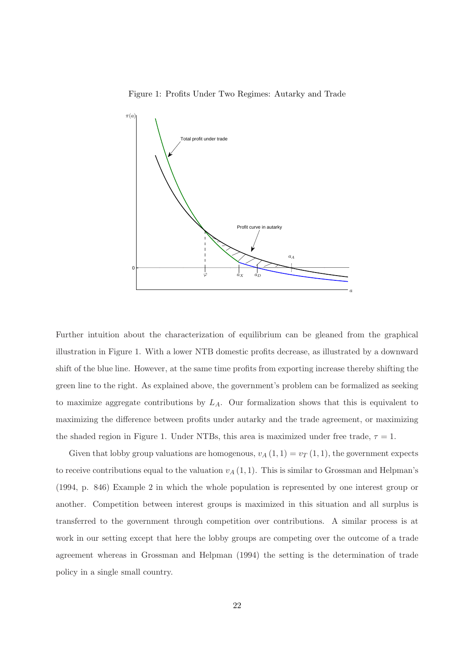



Further intuition about the characterization of equilibrium can be gleaned from the graphical illustration in Figure 1. With a lower NTB domestic profits decrease, as illustrated by a downward shift of the blue line. However, at the same time profits from exporting increase thereby shifting the green line to the right. As explained above, the government's problem can be formalized as seeking to maximize aggregate contributions by  $L_A$ . Our formalization shows that this is equivalent to maximizing the difference between profits under autarky and the trade agreement, or maximizing the shaded region in Figure 1. Under NTBs, this area is maximized under free trade,  $\tau = 1$ .

Given that lobby group valuations are homogenous,  $v_A(1, 1) = v_T(1, 1)$ , the government expects to receive contributions equal to the valuation  $v_A(1,1)$ . This is similar to Grossman and Helpman's (1994, p. 846) Example 2 in which the whole population is represented by one interest group or another. Competition between interest groups is maximized in this situation and all surplus is transferred to the government through competition over contributions. A similar process is at work in our setting except that here the lobby groups are competing over the outcome of a trade agreement whereas in Grossman and Helpman (1994) the setting is the determination of trade policy in a single small country.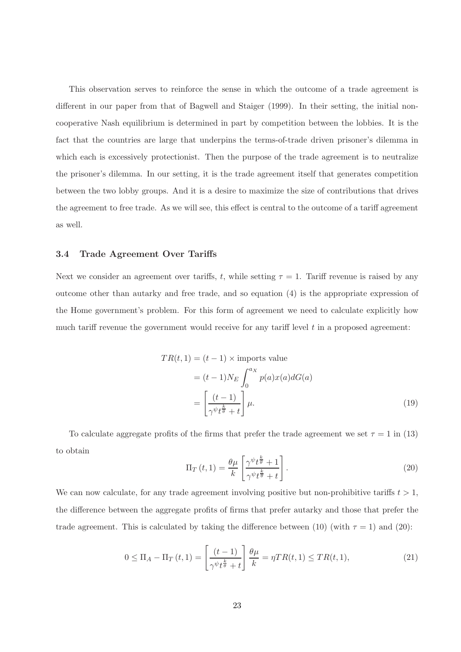This observation serves to reinforce the sense in which the outcome of a trade agreement is different in our paper from that of Bagwell and Staiger (1999). In their setting, the initial noncooperative Nash equilibrium is determined in part by competition between the lobbies. It is the fact that the countries are large that underpins the terms-of-trade driven prisoner's dilemma in which each is excessively protectionist. Then the purpose of the trade agreement is to neutralize the prisoner's dilemma. In our setting, it is the trade agreement itself that generates competition between the two lobby groups. And it is a desire to maximize the size of contributions that drives the agreement to free trade. As we will see, this effect is central to the outcome of a tariff agreement as well.

#### 3.4 Trade Agreement Over Tariffs

Next we consider an agreement over tariffs, t, while setting  $\tau = 1$ . Tariff revenue is raised by any outcome other than autarky and free trade, and so equation (4) is the appropriate expression of the Home government's problem. For this form of agreement we need to calculate explicitly how much tariff revenue the government would receive for any tariff level  $t$  in a proposed agreement:

$$
TR(t,1) = (t-1) \times \text{import value}
$$
  
=  $(t-1)N_E \int_0^{a_X} p(a)x(a)dG(a)$   
=  $\left[ \frac{(t-1)}{\gamma^{\psi}t^{\frac{k}{\theta}} + t} \right] \mu.$  (19)

To calculate aggregate profits of the firms that prefer the trade agreement we set  $\tau = 1$  in (13) to obtain

$$
\Pi_T(t,1) = \frac{\theta \mu}{k} \left[ \frac{\gamma^{\psi} t^{\frac{k}{\theta}} + 1}{\gamma^{\psi} t^{\frac{k}{\theta}} + t} \right].
$$
\n(20)

We can now calculate, for any trade agreement involving positive but non-prohibitive tariffs  $t > 1$ , the difference between the aggregate profits of firms that prefer autarky and those that prefer the trade agreement. This is calculated by taking the difference between (10) (with  $\tau = 1$ ) and (20):

$$
0 \leq \Pi_A - \Pi_T(t,1) = \left[\frac{(t-1)}{\gamma^{\psi}t^{\frac{k}{\theta}} + t}\right] \frac{\theta\mu}{k} = \eta TR(t,1) \leq TR(t,1),\tag{21}
$$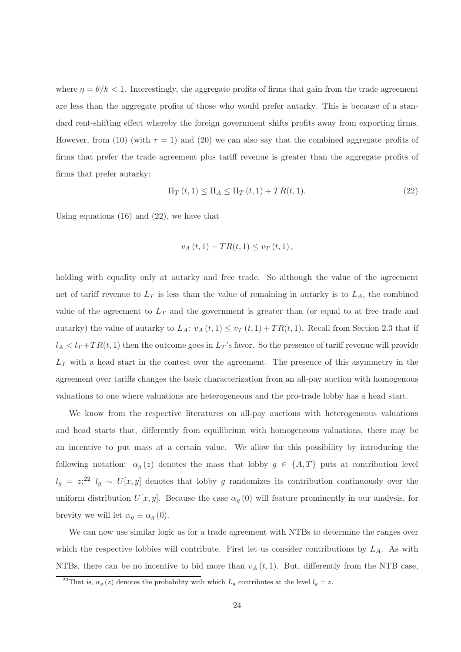where  $\eta = \theta/k < 1$ . Interestingly, the aggregate profits of firms that gain from the trade agreement are less than the aggregate profits of those who would prefer autarky. This is because of a standard rent-shifting effect whereby the foreign government shifts profits away from exporting firms. However, from (10) (with  $\tau = 1$ ) and (20) we can also say that the combined aggregate profits of firms that prefer the trade agreement plus tariff revenue is greater than the aggregate profits of firms that prefer autarky:

$$
\Pi_T(t,1) \le \Pi_A \le \Pi_T(t,1) + TR(t,1). \tag{22}
$$

Using equations (16) and (22), we have that

$$
v_A(t, 1) - TR(t, 1) \leq v_T(t, 1)
$$

holding with equality only at autarky and free trade. So although the value of the agreement net of tariff revenue to  $L_T$  is less than the value of remaining in autarky is to  $L_A$ , the combined value of the agreement to  $L_T$  and the government is greater than (or equal to at free trade and autarky) the value of autarky to  $L_A: v_A(t,1) \le v_T(t,1) + TR(t,1)$ . Recall from Section 2.3 that if  $l_A < l_T + TR(t, 1)$  then the outcome goes in  $L_T$ 's favor. So the presence of tariff revenue will provide  $L_T$  with a head start in the contest over the agreement. The presence of this asymmetry in the agreement over tariffs changes the basic characterization from an all-pay auction with homogenous valuations to one where valuations are heterogeneous and the pro-trade lobby has a head start.

We know from the respective literatures on all-pay auctions with heterogeneous valuations and head starts that, differently from equilibrium with homogeneous valuations, there may be an incentive to put mass at a certain value. We allow for this possibility by introducing the following notation:  $\alpha_g(z)$  denotes the mass that lobby  $g \in \{A, T\}$  puts at contribution level  $l_g = z^{22} l_g \sim U[x, y]$  denotes that lobby g randomizes its contribution continuously over the uniform distribution  $U[x, y]$ . Because the case  $\alpha_g(0)$  will feature prominently in our analysis, for brevity we will let  $\alpha_g \equiv \alpha_g(0)$ .

We can now use similar logic as for a trade agreement with NTBs to determine the ranges over which the respective lobbies will contribute. First let us consider contributions by  $L_A$ . As with NTBs, there can be no incentive to bid more than  $v_A(t, 1)$ . But, differently from the NTB case,

<sup>&</sup>lt;sup>22</sup>That is,  $\alpha_g(z)$  denotes the probability with which  $L_g$  contributes at the level  $l_g = z$ .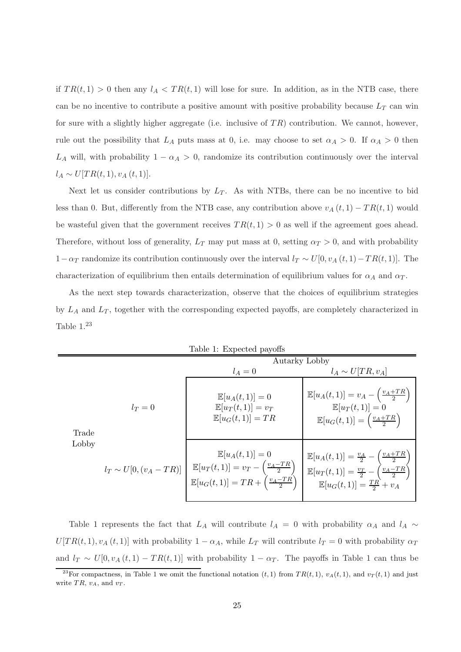if  $TR(t, 1) > 0$  then any  $l_A < TR(t, 1)$  will lose for sure. In addition, as in the NTB case, there can be no incentive to contribute a positive amount with positive probability because  $L_T$  can win for sure with a slightly higher aggregate (i.e. inclusive of  $TR$ ) contribution. We cannot, however, rule out the possibility that  $L_A$  puts mass at 0, i.e. may choose to set  $\alpha_A > 0$ . If  $\alpha_A > 0$  then  $L_A$  will, with probability  $1 - \alpha_A > 0$ , randomize its contribution continuously over the interval  $l_A \sim U[TR(t, 1), v_A(t, 1)].$ 

Next let us consider contributions by  $L_T$ . As with NTBs, there can be no incentive to bid less than 0. But, differently from the NTB case, any contribution above  $v_A(t, 1) - TR(t, 1)$  would be wasteful given that the government receives  $TR(t, 1) > 0$  as well if the agreement goes ahead. Therefore, without loss of generality,  $L_T$  may put mass at 0, setting  $\alpha_T > 0$ , and with probability  $1-\alpha_T$  randomize its contribution continuously over the interval  $l_T \sim U[0, v_A(t, 1)-TR(t, 1)]$ . The characterization of equilibrium then entails determination of equilibrium values for  $\alpha_A$  and  $\alpha_T$ .

As the next step towards characterization, observe that the choices of equilibrium strategies by  $L_A$  and  $L_T$ , together with the corresponding expected payoffs, are completely characterized in Table  $1.^{23}$ 

| Table 1: Expected payoffs |                             |                                                                                                                                                             |                                                                                                                                                                                                     |
|---------------------------|-----------------------------|-------------------------------------------------------------------------------------------------------------------------------------------------------------|-----------------------------------------------------------------------------------------------------------------------------------------------------------------------------------------------------|
|                           |                             | Autarky Lobby                                                                                                                                               |                                                                                                                                                                                                     |
|                           |                             | $l_A=0$                                                                                                                                                     | $l_A \sim U[TR, v_A]$                                                                                                                                                                               |
| Trade<br>Lobby            | $l_T=0$                     | $\mathbb{E}[u_A(t,1)] = 0$<br>$\mathbb{E}[u_T(t,1)] = v_T$<br>$\mathbb{E}[u_G(t,1)] = TR$                                                                   | $\mathbb{E}[u_A(t,1)] = v_A - \left(\frac{v_A + TR}{2}\right)$<br>$\mathbb{E}[u_T(t,1)]=0$<br>$\mathbb{E}[u_G(t,1)] = \left(\frac{v_A + TR}{2}\right)$                                              |
|                           | $l_T \sim U[0, (v_A - TR)]$ | $\mathbb{E}[u_A(t,1)]=0$<br>$\mathbb{E}[u_T(t,1)] = v_T - \left(\frac{v_A - TR}{2}\right)$<br>$\mathbb{E}[u_G(t,1)] = TR + \left(\frac{v_A - TR}{2}\right)$ | $\mathbb{E}[u_A(t,1)] = \frac{v_A}{2} - \left(\frac{v_A + TR}{2}\right)$<br>$\mathbb{E}[u_T(t,1)] = \frac{v_T}{2} - \left(\frac{v_A - TR}{2}\right)$<br>$\mathbb{E}[u_G(t,1)] = \frac{TR}{2} + v_A$ |

Table 1 represents the fact that  $L_A$  will contribute  $l_A = 0$  with probability  $\alpha_A$  and  $l_A \sim$  $U[TR(t, 1), v_A(t, 1)]$  with probability  $1 - \alpha_A$ , while  $L_T$  will contribute  $l_T = 0$  with probability  $\alpha_T$ and  $l_T \sim U[0, v_A(t, 1) - TR(t, 1)]$  with probability  $1 - \alpha_T$ . The payoffs in Table 1 can thus be

<sup>&</sup>lt;sup>23</sup>For compactness, in Table 1 we omit the functional notation  $(t, 1)$  from  $TR(t, 1)$ ,  $v<sub>A</sub>(t, 1)$ , and  $v<sub>T</sub>(t, 1)$  and just write  $TR$ ,  $v_A$ , and  $v_T$ .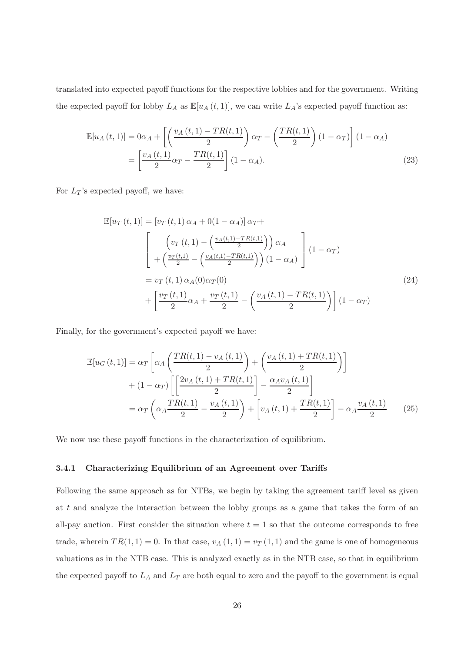translated into expected payoff functions for the respective lobbies and for the government. Writing the expected payoff for lobby  $L_A$  as  $\mathbb{E}[u_A(t,1)]$ , we can write  $L_A$ 's expected payoff function as:

$$
\mathbb{E}[u_A(t,1)] = 0\alpha_A + \left[ \left( \frac{v_A(t,1) - TR(t,1)}{2} \right) \alpha_T - \left( \frac{TR(t,1)}{2} \right) (1 - \alpha_T) \right] (1 - \alpha_A)
$$

$$
= \left[ \frac{v_A(t,1)}{2} \alpha_T - \frac{TR(t,1)}{2} \right] (1 - \alpha_A). \tag{23}
$$

For  $L_T$ 's expected payoff, we have:

$$
\mathbb{E}[u_T(t,1)] = \left[v_T(t,1)\alpha_A + 0(1-\alpha_A)\right]\alpha_T + \left(\frac{v_T(t,1)}{2} - \left(\frac{v_A(t,1) - TR(t,1)}{2}\right)\alpha_A\right) \left(1-\alpha_T\right)
$$
\n
$$
= v_T(t,1)\alpha_A(0)\alpha_T(0) + \left[\frac{v_T(t,1)}{2}\alpha_A + \frac{v_T(t,1)}{2} - \left(\frac{v_A(t,1) - TR(t,1)}{2}\right)\right](1-\alpha_T)
$$
\n(24)

Finally, for the government's expected payoff we have:

$$
\mathbb{E}[u_G(t,1)] = \alpha_T \left[ \alpha_A \left( \frac{TR(t,1) - v_A(t,1)}{2} \right) + \left( \frac{v_A(t,1) + TR(t,1)}{2} \right) \right]
$$

$$
+ (1 - \alpha_T) \left[ \left[ \frac{2v_A(t,1) + TR(t,1)}{2} \right] - \frac{\alpha_A v_A(t,1)}{2} \right]
$$

$$
= \alpha_T \left( \alpha_A \frac{TR(t,1)}{2} - \frac{v_A(t,1)}{2} \right) + \left[ v_A(t,1) + \frac{TR(t,1)}{2} \right] - \alpha_A \frac{v_A(t,1)}{2} \tag{25}
$$

We now use these payoff functions in the characterization of equilibrium.

#### 3.4.1 Characterizing Equilibrium of an Agreement over Tariffs

Following the same approach as for NTBs, we begin by taking the agreement tariff level as given at t and analyze the interaction between the lobby groups as a game that takes the form of an all-pay auction. First consider the situation where  $t = 1$  so that the outcome corresponds to free trade, wherein  $TR(1, 1) = 0$ . In that case,  $v_A(1, 1) = v_T(1, 1)$  and the game is one of homogeneous valuations as in the NTB case. This is analyzed exactly as in the NTB case, so that in equilibrium the expected payoff to  $L_A$  and  $L_T$  are both equal to zero and the payoff to the government is equal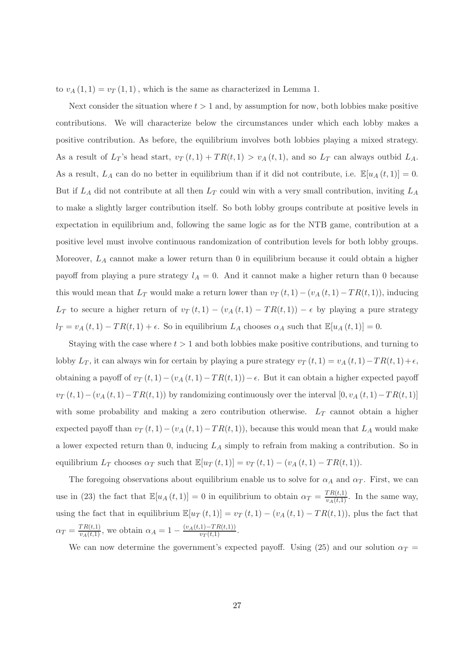to  $v_A(1,1) = v_T(1,1)$ , which is the same as characterized in Lemma 1.

Next consider the situation where  $t > 1$  and, by assumption for now, both lobbies make positive contributions. We will characterize below the circumstances under which each lobby makes a positive contribution. As before, the equilibrium involves both lobbies playing a mixed strategy. As a result of  $L_T$ 's head start,  $v_T(t, 1) + TR(t, 1) > v_A(t, 1)$ , and so  $L_T$  can always outbid  $L_A$ . As a result,  $L_A$  can do no better in equilibrium than if it did not contribute, i.e.  $\mathbb{E}[u_A(t,1)] = 0$ . But if  $L_A$  did not contribute at all then  $L_T$  could win with a very small contribution, inviting  $L_A$ to make a slightly larger contribution itself. So both lobby groups contribute at positive levels in expectation in equilibrium and, following the same logic as for the NTB game, contribution at a positive level must involve continuous randomization of contribution levels for both lobby groups. Moreover,  $L_A$  cannot make a lower return than 0 in equilibrium because it could obtain a higher payoff from playing a pure strategy  $l_A = 0$ . And it cannot make a higher return than 0 because this would mean that  $L_T$  would make a return lower than  $v_T(t, 1) - (v_A(t, 1) - TR(t, 1))$ , inducing  $L_T$  to secure a higher return of  $v_T(t, 1) - (v_A(t, 1) - TR(t, 1)) - \epsilon$  by playing a pure strategy  $l_T = v_A(t, 1) - TR(t, 1) + \epsilon$ . So in equilibrium  $L_A$  chooses  $\alpha_A$  such that  $\mathbb{E}[u_A(t, 1)] = 0$ .

Staying with the case where  $t > 1$  and both lobbies make positive contributions, and turning to lobby  $L_T$ , it can always win for certain by playing a pure strategy  $v_T(t, 1) = v_A(t, 1) - TR(t, 1) + \epsilon$ , obtaining a payoff of  $v_T(t, 1) - (v_A(t, 1) - TR(t, 1)) - \epsilon$ . But it can obtain a higher expected payoff  $v_T(t, 1) - (v_A(t, 1) - TR(t, 1))$  by randomizing continuously over the interval  $[0, v_A(t, 1) - TR(t, 1)]$ with some probability and making a zero contribution otherwise.  $L_T$  cannot obtain a higher expected payoff than  $v_T(t, 1) - (v_A(t, 1) - TR(t, 1))$ , because this would mean that  $L_A$  would make a lower expected return than 0, inducing  $L_A$  simply to refrain from making a contribution. So in equilibrium  $L_T$  chooses  $\alpha_T$  such that  $\mathbb{E}[u_T(t,1)] = v_T(t,1) - (v_A(t,1) - TR(t,1)).$ 

The foregoing observations about equilibrium enable us to solve for  $\alpha_A$  and  $\alpha_T$ . First, we can use in (23) the fact that  $\mathbb{E}[u_A(t,1)] = 0$  in equilibrium to obtain  $\alpha_T = \frac{TR(t,1)}{v_A(t,1)}$ . In the same way, using the fact that in equilibrium  $\mathbb{E}[u_T(t,1)] = v_T(t,1) - (v_A(t,1) - TR(t,1)),$  plus the fact that  $\alpha_T = \frac{TR(t,1)}{v_A(t,1)},$  we obtain  $\alpha_A = 1 - \frac{(v_A(t,1) - TR(t,1))}{v_T(t,1)}.$ 

We can now determine the government's expected payoff. Using (25) and our solution  $\alpha_T =$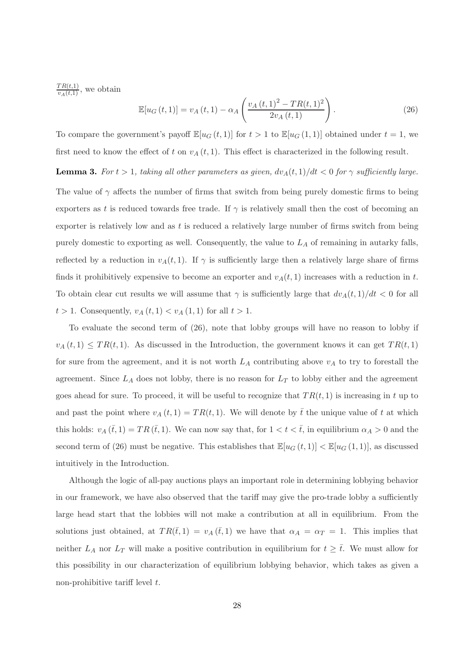$\frac{TR(t,1)}{v_A(t,1)}$ , we obtain

$$
\mathbb{E}[u_G(t,1)] = v_A(t,1) - \alpha_A \left( \frac{v_A(t,1)^2 - TR(t,1)^2}{2v_A(t,1)} \right). \tag{26}
$$

To compare the government's payoff  $\mathbb{E}[u_G(t,1)]$  for  $t > 1$  to  $\mathbb{E}[u_G(1,1)]$  obtained under  $t = 1$ , we first need to know the effect of t on  $v_A(t, 1)$ . This effect is characterized in the following result.

**Lemma 3.** For  $t > 1$ , taking all other parameters as given,  $dv_A(t, 1)/dt < 0$  for  $\gamma$  sufficiently large. The value of  $\gamma$  affects the number of firms that switch from being purely domestic firms to being exporters as t is reduced towards free trade. If  $\gamma$  is relatively small then the cost of becoming an exporter is relatively low and as  $t$  is reduced a relatively large number of firms switch from being purely domestic to exporting as well. Consequently, the value to  $L_A$  of remaining in autarky falls, reflected by a reduction in  $v_A(t, 1)$ . If  $\gamma$  is sufficiently large then a relatively large share of firms finds it prohibitively expensive to become an exporter and  $v_A(t, 1)$  increases with a reduction in t. To obtain clear cut results we will assume that  $\gamma$  is sufficiently large that  $dv_A(t, 1)/dt < 0$  for all  $t > 1$ . Consequently,  $v_A(t, 1) < v_A(1, 1)$  for all  $t > 1$ .

To evaluate the second term of (26), note that lobby groups will have no reason to lobby if  $v_A(t,1) \leq TR(t,1)$ . As discussed in the Introduction, the government knows it can get  $TR(t,1)$ for sure from the agreement, and it is not worth  $L_A$  contributing above  $v_A$  to try to forestall the agreement. Since  $L_A$  does not lobby, there is no reason for  $L_T$  to lobby either and the agreement goes ahead for sure. To proceed, it will be useful to recognize that  $TR(t, 1)$  is increasing in t up to and past the point where  $v_A(t, 1) = TR(t, 1)$ . We will denote by  $\bar{t}$  the unique value of t at which this holds:  $v_A(\bar{t},1) = TR(\bar{t},1)$ . We can now say that, for  $1 < t < \bar{t}$ , in equilibrium  $\alpha_A > 0$  and the second term of (26) must be negative. This establishes that  $\mathbb{E}[u_G(t,1)] < \mathbb{E}[u_G(1,1)]$ , as discussed intuitively in the Introduction.

Although the logic of all-pay auctions plays an important role in determining lobbying behavior in our framework, we have also observed that the tariff may give the pro-trade lobby a sufficiently large head start that the lobbies will not make a contribution at all in equilibrium. From the solutions just obtained, at  $TR(\bar{t},1) = v_A(\bar{t},1)$  we have that  $\alpha_A = \alpha_T = 1$ . This implies that neither  $L_A$  nor  $L_T$  will make a positive contribution in equilibrium for  $t \geq \overline{t}$ . We must allow for this possibility in our characterization of equilibrium lobbying behavior, which takes as given a non-prohibitive tariff level  $t$ .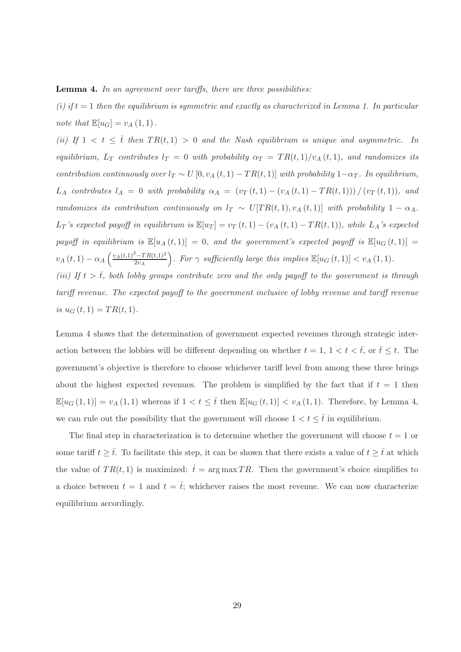#### **Lemma 4.** In an agreement over tariffs, there are three possibilities:

(i) if  $t = 1$  then the equilibrium is symmetric and exactly as characterized in Lemma 1. In particular note that  $\mathbb{E}[u_G] = v_A(1,1)$ .

(ii) If  $1 < t \leq \overline{t}$  then  $TR(t,1) > 0$  and the Nash equilibrium is unique and asymmetric. In equilibrium,  $L_T$  contributes  $l_T = 0$  with probability  $\alpha_T = TR(t, 1)/v_A(t, 1)$ , and randomizes its contribution continuously over  $l_T \sim U[0, v_A(t, 1) - TR(t, 1)]$  with probability  $1-\alpha_T$ . In equilibrium,  $L_A$  contributes  $l_A = 0$  with probability  $\alpha_A = (v_T(t, 1) - (v_A(t, 1) - TR(t, 1))) / (v_T(t, 1))$ , and randomizes its contribution continuously on  $l_T \sim U[TR(t,1), v_A(t,1)]$  with probability  $1 - \alpha_A$ .  $L_T$ 's expected payoff in equilibrium is  $\mathbb{E}[u_T] = v_T(t,1) - (v_A(t,1) - TR(t,1)),$  while  $L_A$ 's expected payoff in equilibrium is  $\mathbb{E}[u_A(t,1)] = 0$ , and the government's expected payoff is  $\mathbb{E}[u_G(t,1)] =$  $v_A(t,1) - \alpha_A \left( \frac{v_A(t,1)^2 - TR(t,1)^2}{2v_A} \right)$  $\left(\frac{2-TR(t,1)^2}{2v_A}\right)$ . For  $\gamma$  sufficiently large this implies  $\mathbb{E}[u_G(t,1)] < v_A(1,1)$ . (iii) If  $t > \overline{t}$ , both lobby groups contribute zero and the only payoff to the government is through tariff revenue. The expected payoff to the government inclusive of lobby revenue and tariff revenue is  $u_G(t, 1) = TR(t, 1)$ .

Lemma 4 shows that the determination of government expected revenues through strategic interaction between the lobbies will be different depending on whether  $t = 1, 1 < t < \bar{t}$ , or  $\bar{t} \leq t$ . The government's objective is therefore to choose whichever tariff level from among these three brings about the highest expected revenues. The problem is simplified by the fact that if  $t = 1$  then  $\mathbb{E}[u_G(1,1)] = v_A(1,1)$  whereas if  $1 < t \leq \bar{t}$  then  $\mathbb{E}[u_G(t,1)] < v_A(1,1)$ . Therefore, by Lemma 4, we can rule out the possibility that the government will choose  $1 < t \leq \bar{t}$  in equilibrium.

The final step in characterization is to determine whether the government will choose  $t = 1$  or some tariff  $t \geq \overline{t}$ . To facilitate this step, it can be shown that there exists a value of  $t \geq \overline{t}$  at which the value of  $TR(t, 1)$  is maximized:  $\hat{t} = \arg \max TR$ . Then the government's choice simplifies to a choice between  $t = 1$  and  $t = \hat{t}$ ; whichever raises the most revenue. We can now characterize equilibrium accordingly.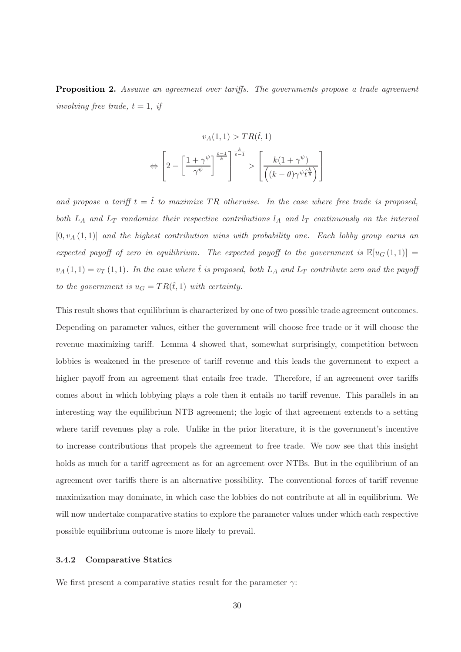Proposition 2. Assume an agreement over tariffs. The governments propose a trade agreement involving free trade,  $t = 1$ , if

$$
v_A(1,1) > TR(\hat{t},1)
$$

$$
\Leftrightarrow \left[2 - \left[\frac{1+\gamma^{\psi}}{\gamma^{\psi}}\right]^{\frac{\varepsilon-1}{k}}\right] \stackrel{k}{\longrightarrow} \left[\frac{k(1+\gamma^{\psi})}{\left((k-\theta)\gamma^{\psi}\hat{t}^{\frac{k}{\theta}}\right)}\right]
$$

and propose a tariff  $t = \hat{t}$  to maximize TR otherwise. In the case where free trade is proposed, both  $L_A$  and  $L_T$  randomize their respective contributions  $l_A$  and  $l_T$  continuously on the interval  $[0, v_A(1, 1)]$  and the highest contribution wins with probability one. Each lobby group earns an expected payoff of zero in equilibrium. The expected payoff to the government is  $\mathbb{E}[u_G(1,1)] =$  $v_A(1,1) = v_T(1,1)$ . In the case where  $\hat{t}$  is proposed, both  $L_A$  and  $L_T$  contribute zero and the payoff to the government is  $u_G = TR(\hat{t}, 1)$  with certainty.

This result shows that equilibrium is characterized by one of two possible trade agreement outcomes. Depending on parameter values, either the government will choose free trade or it will choose the revenue maximizing tariff. Lemma 4 showed that, somewhat surprisingly, competition between lobbies is weakened in the presence of tariff revenue and this leads the government to expect a higher payoff from an agreement that entails free trade. Therefore, if an agreement over tariffs comes about in which lobbying plays a role then it entails no tariff revenue. This parallels in an interesting way the equilibrium NTB agreement; the logic of that agreement extends to a setting where tariff revenues play a role. Unlike in the prior literature, it is the government's incentive to increase contributions that propels the agreement to free trade. We now see that this insight holds as much for a tariff agreement as for an agreement over NTBs. But in the equilibrium of an agreement over tariffs there is an alternative possibility. The conventional forces of tariff revenue maximization may dominate, in which case the lobbies do not contribute at all in equilibrium. We will now undertake comparative statics to explore the parameter values under which each respective possible equilibrium outcome is more likely to prevail.

#### 3.4.2 Comparative Statics

We first present a comparative statics result for the parameter  $\gamma$ :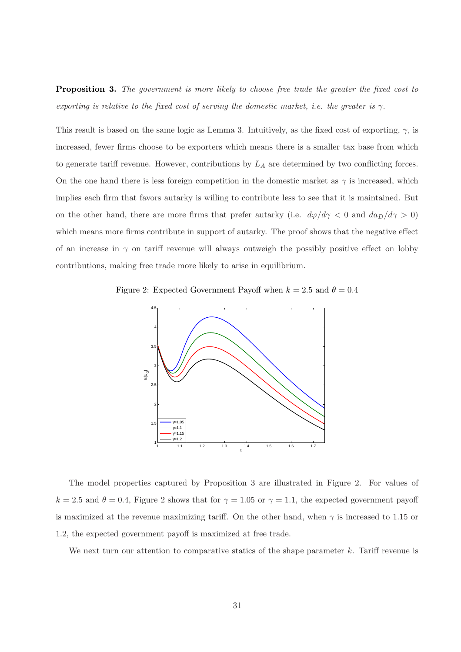**Proposition 3.** The government is more likely to choose free trade the greater the fixed cost to exporting is relative to the fixed cost of serving the domestic market, i.e. the greater is  $\gamma$ .

This result is based on the same logic as Lemma 3. Intuitively, as the fixed cost of exporting,  $\gamma$ , is increased, fewer firms choose to be exporters which means there is a smaller tax base from which to generate tariff revenue. However, contributions by  $L_A$  are determined by two conflicting forces. On the one hand there is less foreign competition in the domestic market as  $\gamma$  is increased, which implies each firm that favors autarky is willing to contribute less to see that it is maintained. But on the other hand, there are more firms that prefer autarky (i.e.  $d\varphi/d\gamma < 0$  and  $d a_D/d\gamma > 0$ ) which means more firms contribute in support of autarky. The proof shows that the negative effect of an increase in  $\gamma$  on tariff revenue will always outweigh the possibly positive effect on lobby contributions, making free trade more likely to arise in equilibrium.

Figure 2: Expected Government Payoff when  $k = 2.5$  and  $\theta = 0.4$ 



The model properties captured by Proposition 3 are illustrated in Figure 2. For values of  $k = 2.5$  and  $\theta = 0.4$ , Figure 2 shows that for  $\gamma = 1.05$  or  $\gamma = 1.1$ , the expected government payoff is maximized at the revenue maximizing tariff. On the other hand, when  $\gamma$  is increased to 1.15 or 1.2, the expected government payoff is maximized at free trade.

We next turn our attention to comparative statics of the shape parameter  $k$ . Tariff revenue is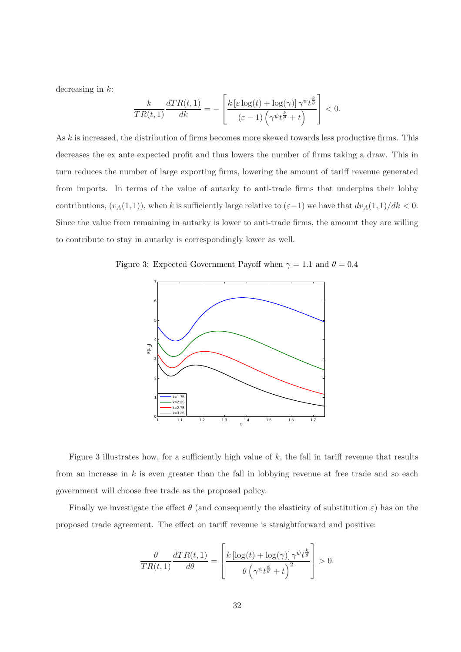decreasing in  $k$ :

$$
\frac{k}{TR(t,1)}\frac{dTR(t,1)}{dk} = -\left[\frac{k\left[\varepsilon\log(t) + \log(\gamma)\right]\gamma^{\psi}t^{\frac{k}{\theta}}}{\left(\varepsilon - 1\right)\left(\gamma^{\psi}t^{\frac{k}{\theta}} + t\right)}\right] < 0.
$$

As k is increased, the distribution of firms becomes more skewed towards less productive firms. This decreases the ex ante expected profit and thus lowers the number of firms taking a draw. This in turn reduces the number of large exporting firms, lowering the amount of tariff revenue generated from imports. In terms of the value of autarky to anti-trade firms that underpins their lobby contributions,  $(v_A(1, 1))$ , when k is sufficiently large relative to  $(\varepsilon-1)$  we have that  $dv_A(1, 1)/dk < 0$ . Since the value from remaining in autarky is lower to anti-trade firms, the amount they are willing to contribute to stay in autarky is correspondingly lower as well.

Figure 3: Expected Government Payoff when  $\gamma = 1.1$  and  $\theta = 0.4$ 



Figure 3 illustrates how, for a sufficiently high value of  $k$ , the fall in tariff revenue that results from an increase in  $k$  is even greater than the fall in lobbying revenue at free trade and so each government will choose free trade as the proposed policy.

Finally we investigate the effect  $\theta$  (and consequently the elasticity of substitution  $\varepsilon$ ) has on the proposed trade agreement. The effect on tariff revenue is straightforward and positive:

$$
\frac{\theta}{TR(t,1)}\frac{dTR(t,1)}{d\theta} = \left[\frac{k \left[\log(t) + \log(\gamma)\right] \gamma^{\psi} t^{\frac{k}{\theta}}}{\theta \left(\gamma^{\psi} t^{\frac{k}{\theta}} + t\right)^2}\right] > 0.
$$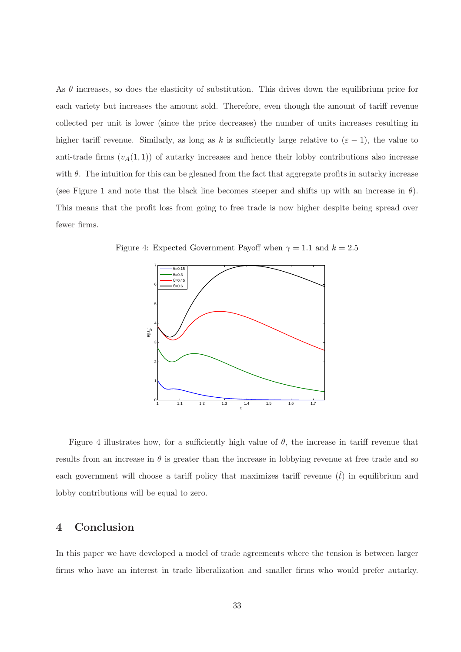As  $\theta$  increases, so does the elasticity of substitution. This drives down the equilibrium price for each variety but increases the amount sold. Therefore, even though the amount of tariff revenue collected per unit is lower (since the price decreases) the number of units increases resulting in higher tariff revenue. Similarly, as long as k is sufficiently large relative to  $(\varepsilon - 1)$ , the value to anti-trade firms  $(v_A(1, 1))$  of autarky increases and hence their lobby contributions also increase with  $\theta$ . The intuition for this can be gleaned from the fact that aggregate profits in autarky increase (see Figure 1 and note that the black line becomes steeper and shifts up with an increase in  $\theta$ ). This means that the profit loss from going to free trade is now higher despite being spread over fewer firms.

Figure 4: Expected Government Payoff when  $\gamma = 1.1$  and  $k = 2.5$ 



Figure 4 illustrates how, for a sufficiently high value of  $\theta$ , the increase in tariff revenue that results from an increase in  $\theta$  is greater than the increase in lobbying revenue at free trade and so each government will choose a tariff policy that maximizes tariff revenue  $(\hat{t})$  in equilibrium and lobby contributions will be equal to zero.

# 4 Conclusion

In this paper we have developed a model of trade agreements where the tension is between larger firms who have an interest in trade liberalization and smaller firms who would prefer autarky.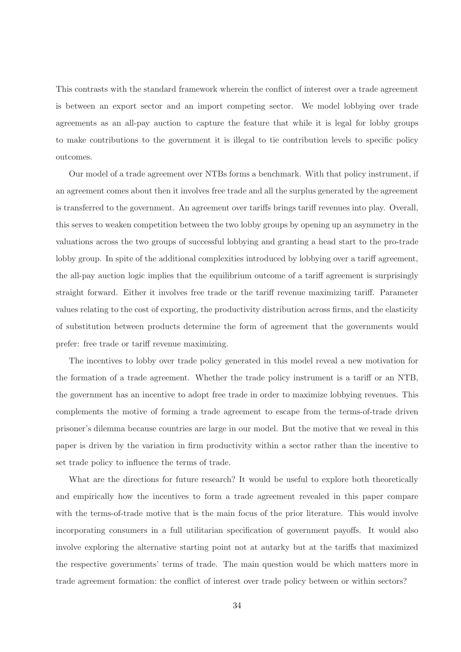This contrasts with the standard framework wherein the conflict of interest over a trade agreement is between an export sector and an import competing sector. We model lobbying over trade agreements as an all-pay auction to capture the feature that while it is legal for lobby groups to make contributions to the government it is illegal to tie contribution levels to specific policy outcomes.

Our model of a trade agreement over NTBs forms a benchmark. With that policy instrument, if an agreement comes about then it involves free trade and all the surplus generated by the agreement is transferred to the government. An agreement over tariffs brings tariff revenues into play. Overall, this serves to weaken competition between the two lobby groups by opening up an asymmetry in the valuations across the two groups of successful lobbying and granting a head start to the pro-trade lobby group. In spite of the additional complexities introduced by lobbying over a tariff agreement, the all-pay auction logic implies that the equilibrium outcome of a tariff agreement is surprisingly straight forward. Either it involves free trade or the tariff revenue maximizing tariff. Parameter values relating to the cost of exporting, the productivity distribution across firms, and the elasticity of substitution between products determine the form of agreement that the governments would prefer: free trade or tariff revenue maximizing.

The incentives to lobby over trade policy generated in this model reveal a new motivation for the formation of a trade agreement. Whether the trade policy instrument is a tariff or an NTB, the government has an incentive to adopt free trade in order to maximize lobbying revenues. This complements the motive of forming a trade agreement to escape from the terms-of-trade driven prisoner's dilemma because countries are large in our model. But the motive that we reveal in this paper is driven by the variation in firm productivity within a sector rather than the incentive to set trade policy to influence the terms of trade.

What are the directions for future research? It would be useful to explore both theoretically and empirically how the incentives to form a trade agreement revealed in this paper compare with the terms-of-trade motive that is the main focus of the prior literature. This would involve incorporating consumers in a full utilitarian specification of government payoffs. It would also involve exploring the alternative starting point not at autarky but at the tariffs that maximized the respective governments' terms of trade. The main question would be which matters more in trade agreement formation: the conflict of interest over trade policy between or within sectors?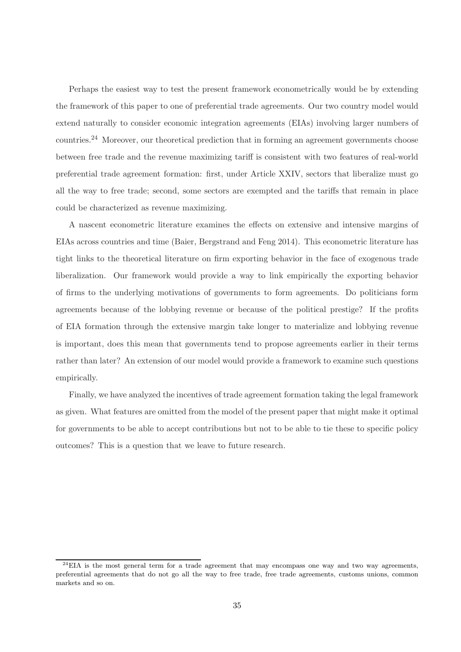Perhaps the easiest way to test the present framework econometrically would be by extending the framework of this paper to one of preferential trade agreements. Our two country model would extend naturally to consider economic integration agreements (EIAs) involving larger numbers of countries.<sup>24</sup> Moreover, our theoretical prediction that in forming an agreement governments choose between free trade and the revenue maximizing tariff is consistent with two features of real-world preferential trade agreement formation: first, under Article XXIV, sectors that liberalize must go all the way to free trade; second, some sectors are exempted and the tariffs that remain in place could be characterized as revenue maximizing.

A nascent econometric literature examines the effects on extensive and intensive margins of EIAs across countries and time (Baier, Bergstrand and Feng 2014). This econometric literature has tight links to the theoretical literature on firm exporting behavior in the face of exogenous trade liberalization. Our framework would provide a way to link empirically the exporting behavior of firms to the underlying motivations of governments to form agreements. Do politicians form agreements because of the lobbying revenue or because of the political prestige? If the profits of EIA formation through the extensive margin take longer to materialize and lobbying revenue is important, does this mean that governments tend to propose agreements earlier in their terms rather than later? An extension of our model would provide a framework to examine such questions empirically.

Finally, we have analyzed the incentives of trade agreement formation taking the legal framework as given. What features are omitted from the model of the present paper that might make it optimal for governments to be able to accept contributions but not to be able to tie these to specific policy outcomes? This is a question that we leave to future research.

 $^{24}$ EIA is the most general term for a trade agreement that may encompass one way and two way agreements, preferential agreements that do not go all the way to free trade, free trade agreements, customs unions, common markets and so on.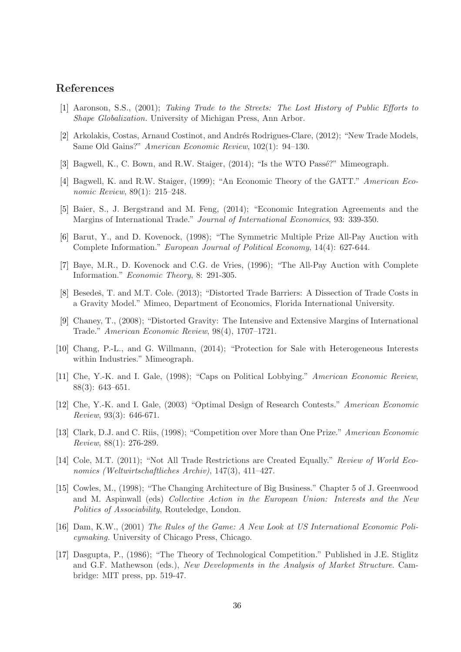## References

- [1] Aaronson, S.S., (2001); Taking Trade to the Streets: The Lost History of Public Efforts to Shape Globalization. University of Michigan Press, Ann Arbor.
- [2] Arkolakis, Costas, Arnaud Costinot, and Andrés Rodrigues-Clare, (2012); "New Trade Models, Same Old Gains?" American Economic Review, 102(1): 94–130.
- [3] Bagwell, K., C. Bown, and R.W. Staiger, (2014); "Is the WTO Passé?" Mimeograph.
- [4] Bagwell, K. and R.W. Staiger, (1999); "An Economic Theory of the GATT." American Economic Review, 89(1): 215–248.
- [5] Baier, S., J. Bergstrand and M. Feng, (2014); "Economic Integration Agreements and the Margins of International Trade." Journal of International Economics, 93: 339-350.
- [6] Barut, Y., and D. Kovenock, (1998); "The Symmetric Multiple Prize All-Pay Auction with Complete Information." European Journal of Political Economy, 14(4): 627-644.
- [7] Baye, M.R., D. Kovenock and C.G. de Vries, (1996); "The All-Pay Auction with Complete Information." Economic Theory, 8: 291-305.
- [8] Besedeš, T. and M.T. Cole. (2013); "Distorted Trade Barriers: A Dissection of Trade Costs in a Gravity Model." Mimeo, Department of Economics, Florida International University.
- [9] Chaney, T., (2008); "Distorted Gravity: The Intensive and Extensive Margins of International Trade." American Economic Review, 98(4), 1707–1721.
- [10] Chang, P.-L., and G. Willmann, (2014); "Protection for Sale with Heterogeneous Interests within Industries." Mimeograph.
- [11] Che, Y.-K. and I. Gale, (1998); "Caps on Political Lobbying." American Economic Review, 88(3): 643–651.
- [12] Che, Y.-K. and I. Gale, (2003) "Optimal Design of Research Contests." American Economic Review, 93(3): 646-671.
- [13] Clark, D.J. and C. Riis, (1998); "Competition over More than One Prize." American Economic Review, 88(1): 276-289.
- [14] Cole, M.T. (2011); "Not All Trade Restrictions are Created Equally." Review of World Economics (Weltwirtschaftliches Archiv), 147(3), 411–427.
- [15] Cowles, M., (1998); "The Changing Architecture of Big Business." Chapter 5 of J. Greenwood and M. Aspinwall (eds) Collective Action in the European Union: Interests and the New Politics of Associability, Routeledge, London.
- [16] Dam, K.W., (2001) The Rules of the Game: A New Look at US International Economic Policymaking. University of Chicago Press, Chicago.
- [17] Dasgupta, P., (1986); "The Theory of Technological Competition." Published in J.E. Stiglitz and G.F. Mathewson (eds.), New Developments in the Analysis of Market Structure. Cambridge: MIT press, pp. 519-47.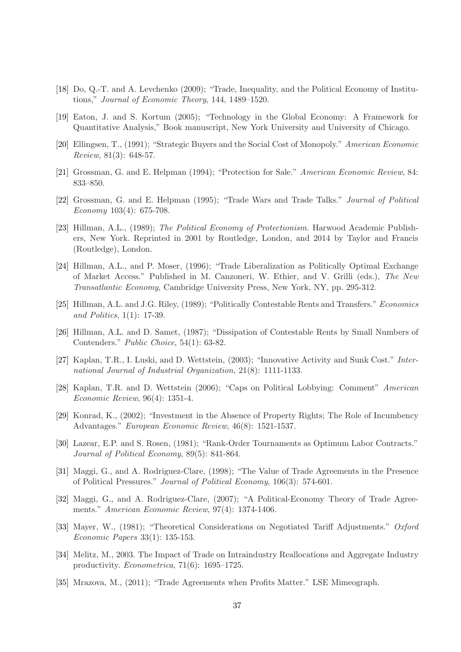- [18] Do, Q.-T. and A. Levchenko (2009); "Trade, Inequality, and the Political Economy of Institutions," Journal of Economic Theory, 144, 1489–1520.
- [19] Eaton, J. and S. Kortum (2005); "Technology in the Global Economy: A Framework for Quantitative Analysis," Book manuscript, New York University and University of Chicago.
- [20] Ellingsen, T., (1991); "Strategic Buyers and the Social Cost of Monopoly." American Economic Review, 81(3): 648-57.
- [21] Grossman, G. and E. Helpman (1994); "Protection for Sale." American Economic Review, 84: 833–850.
- [22] Grossman, G. and E. Helpman (1995); "Trade Wars and Trade Talks." Journal of Political Economy 103(4): 675-708.
- [23] Hillman, A.L., (1989); The Political Economy of Protectionism. Harwood Academic Publishers, New York. Reprinted in 2001 by Routledge, London, and 2014 by Taylor and Francis (Routledge), London.
- [24] Hillman, A.L., and P. Moser, (1996); "Trade Liberalization as Politically Optimal Exchange of Market Access." Published in M. Canzoneri, W. Ethier, and V. Grilli (eds.), The New Transatlantic Economy, Cambridge University Press, New York, NY, pp. 295-312.
- [25] Hillman, A.L. and J.G. Riley, (1989); "Politically Contestable Rents and Transfers." Economics and Politics, 1(1): 17-39.
- [26] Hillman, A.L. and D. Samet, (1987); "Dissipation of Contestable Rents by Small Numbers of Contenders." Public Choice, 54(1): 63-82.
- [27] Kaplan, T.R., I. Luski, and D. Wettstein, (2003); "Innovative Activity and Sunk Cost." International Journal of Industrial Organization, 21(8): 1111-1133.
- [28] Kaplan, T.R. and D. Wettstein (2006); "Caps on Political Lobbying: Comment" American Economic Review, 96(4): 1351-4.
- [29] Konrad, K., (2002); "Investment in the Absence of Property Rights; The Role of Incumbency Advantages." European Economic Review, 46(8): 1521-1537.
- [30] Lazear, E.P. and S. Rosen, (1981); "Rank-Order Tournaments as Optimum Labor Contracts." Journal of Political Economy, 89(5): 841-864.
- [31] Maggi, G., and A. Rodriguez-Clare, (1998); "The Value of Trade Agreements in the Presence of Political Pressures." Journal of Political Economy, 106(3): 574-601.
- [32] Maggi, G., and A. Rodriguez-Clare, (2007); "A Political-Economy Theory of Trade Agreements." American Economic Review, 97(4): 1374-1406.
- [33] Mayer, W., (1981); "Theoretical Considerations on Negotiated Tariff Adjustments." Oxford Economic Papers 33(1): 135-153.
- [34] Melitz, M., 2003. The Impact of Trade on Intraindustry Reallocations and Aggregate Industry productivity. Econometrica, 71(6): 1695–1725.
- [35] Mrazova, M., (2011); "Trade Agreements when Profits Matter." LSE Mimeograph.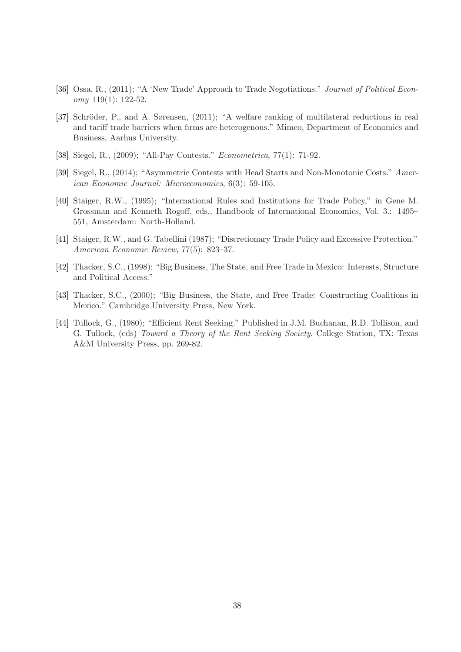- [36] Ossa, R., (2011); "A 'New Trade' Approach to Trade Negotiations." Journal of Political Econ $omy$  119(1): 122-52.
- [37] Schröder, P., and A. Sørensen, (2011); "A welfare ranking of multilateral reductions in real and tariff trade barriers when firms are heterogenous." Mimeo, Department of Economics and Business, Aarhus University.
- [38] Siegel, R., (2009); "All-Pay Contests." Econometrica, 77(1): 71-92.
- [39] Siegel, R., (2014); "Asymmetric Contests with Head Starts and Non-Monotonic Costs." American Economic Journal: Microeconomics, 6(3): 59-105.
- [40] Staiger, R.W., (1995); "International Rules and Institutions for Trade Policy," in Gene M. Grossman and Kenneth Rogoff, eds., Handbook of International Economics, Vol. 3.: 1495– 551, Amsterdam: North-Holland.
- [41] Staiger, R.W., and G. Tabellini (1987); "Discretionary Trade Policy and Excessive Protection." American Economic Review, 77(5): 823–37.
- [42] Thacker, S.C., (1998); "Big Business, The State, and Free Trade in Mexico: Interests, Structure and Political Access."
- [43] Thacker, S.C., (2000); "Big Business, the State, and Free Trade: Constructing Coalitions in Mexico." Cambridge University Press, New York.
- [44] Tullock, G., (1980); "Efficient Rent Seeking." Published in J.M. Buchanan, R.D. Tollison, and G. Tullock, (eds) Toward a Theory of the Rent Seeking Society. College Station, TX: Texas A&M University Press, pp. 269-82.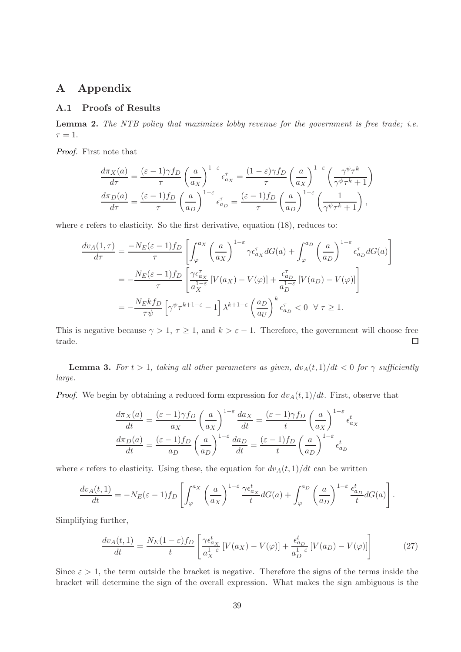# A Appendix

## A.1 Proofs of Results

Lemma 2. The NTB policy that maximizes lobby revenue for the government is free trade; i.e.  $\tau = 1$ .

Proof. First note that

$$
\frac{d\pi_X(a)}{d\tau} = \frac{(\varepsilon - 1)\gamma f_D}{\tau} \left(\frac{a}{a_X}\right)^{1-\varepsilon} \epsilon_{a_X}^{\tau} = \frac{(1-\varepsilon)\gamma f_D}{\tau} \left(\frac{a}{a_X}\right)^{1-\varepsilon} \left(\frac{\gamma^{\psi}\tau^k}{\gamma^{\psi}\tau^k + 1}\right)
$$

$$
\frac{d\pi_D(a)}{d\tau} = \frac{(\varepsilon - 1)f_D}{\tau} \left(\frac{a}{a_D}\right)^{1-\varepsilon} \epsilon_{a_D}^{\tau} = \frac{(\varepsilon - 1)f_D}{\tau} \left(\frac{a}{a_D}\right)^{1-\varepsilon} \left(\frac{1}{\gamma^{\psi}\tau^k + 1}\right),
$$

where  $\epsilon$  refers to elasticity. So the first derivative, equation (18), reduces to:

$$
\frac{dv_A(1,\tau)}{d\tau} = \frac{-N_E(\varepsilon - 1)f_D}{\tau} \left[ \int_{\varphi}^{a_X} \left( \frac{a}{a_X} \right)^{1-\varepsilon} \gamma \epsilon_{a_X}^{\tau} dG(a) + \int_{\varphi}^{a_D} \left( \frac{a}{a_D} \right)^{1-\varepsilon} \epsilon_{a_D}^{\tau} dG(a) \right]
$$

$$
= -\frac{N_E(\varepsilon - 1)f_D}{\tau} \left[ \frac{\gamma \epsilon_{a_X}^{\tau}}{a_X^{1-\varepsilon}} \left[ V(a_X) - V(\varphi) \right] + \frac{\epsilon_{a_D}^{\tau}}{a_D^{1-\varepsilon}} \left[ V(a_D) - V(\varphi) \right] \right]
$$

$$
= -\frac{N_E k f_D}{\tau \psi} \left[ \gamma^{\psi} \tau^{k+1-\varepsilon} - 1 \right] \lambda^{k+1-\varepsilon} \left( \frac{a_D}{a_U} \right)^k \epsilon_{a_D}^{\tau} < 0 \ \ \forall \ \tau \ge 1.
$$

This is negative because  $\gamma > 1$ ,  $\tau \geq 1$ , and  $k > \varepsilon - 1$ . Therefore, the government will choose free trade.  $\Box$ 

**Lemma 3.** For  $t > 1$ , taking all other parameters as given,  $dv_A(t, 1)/dt < 0$  for  $\gamma$  sufficiently large.

*Proof.* We begin by obtaining a reduced form expression for  $dv_A(t, 1)/dt$ . First, observe that

$$
\frac{d\pi_X(a)}{dt} = \frac{(\varepsilon - 1)\gamma f_D}{a_X} \left(\frac{a}{a_X}\right)^{1-\varepsilon} \frac{da_X}{dt} = \frac{(\varepsilon - 1)\gamma f_D}{t} \left(\frac{a}{a_X}\right)^{1-\varepsilon} \epsilon_{a_X}^t
$$

$$
\frac{d\pi_D(a)}{dt} = \frac{(\varepsilon - 1)f_D}{a_D} \left(\frac{a}{a_D}\right)^{1-\varepsilon} \frac{da_D}{dt} = \frac{(\varepsilon - 1)f_D}{t} \left(\frac{a}{a_D}\right)^{1-\varepsilon} \epsilon_{a_D}^t
$$

where  $\epsilon$  refers to elasticity. Using these, the equation for  $dv_A(t, 1)/dt$  can be written

$$
\frac{dv_A(t,1)}{dt} = -N_E(\varepsilon - 1) f_D \left[ \int_{\varphi}^{a_X} \left( \frac{a}{a_X} \right)^{1-\varepsilon} \frac{\gamma \epsilon_{a_X}^t}{t} dG(a) + \int_{\varphi}^{a_D} \left( \frac{a}{a_D} \right)^{1-\varepsilon} \frac{\epsilon_{a_D}^t}{t} dG(a) \right].
$$

Simplifying further,

$$
\frac{dv_A(t,1)}{dt} = \frac{N_E(1-\varepsilon)f_D}{t} \left[ \frac{\gamma \epsilon_{a_X}^t}{a_X^{1-\varepsilon}} \left[ V(a_X) - V(\varphi) \right] + \frac{\epsilon_{a_D}^t}{a_D^{1-\varepsilon}} \left[ V(a_D) - V(\varphi) \right] \right] \tag{27}
$$

Since  $\varepsilon > 1$ , the term outside the bracket is negative. Therefore the signs of the terms inside the bracket will determine the sign of the overall expression. What makes the sign ambiguous is the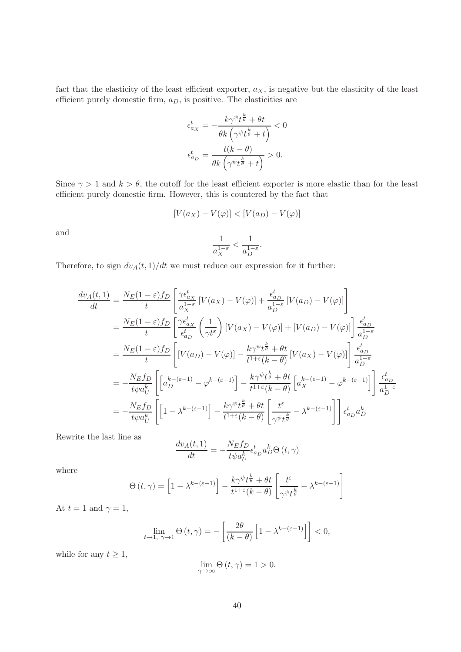fact that the elasticity of the least efficient exporter,  $a_X$ , is negative but the elasticity of the least efficient purely domestic firm,  $a_D$ , is positive. The elasticities are

$$
\epsilon_{a_X}^t = -\frac{k\gamma^{\psi}t^{\frac{k}{\theta}} + \theta t}{\theta k \left(\gamma^{\psi}t^{\frac{k}{\theta}} + t\right)} < 0
$$

$$
\epsilon_{a_D}^t = \frac{t(k - \theta)}{\theta k \left(\gamma^{\psi}t^{\frac{k}{\theta}} + t\right)} > 0.
$$

Since  $\gamma > 1$  and  $k > \theta$ , the cutoff for the least efficient exporter is more elastic than for the least efficient purely domestic firm. However, this is countered by the fact that

$$
[V(a_X) - V(\varphi)] < [V(a_D) - V(\varphi)]
$$

and

$$
\frac{1}{a_X^{1-\varepsilon}} < \frac{1}{a_D^{1-\varepsilon}}.
$$

Therefore, to sign  $dv_A(t, 1)/dt$  we must reduce our expression for it further:

$$
\frac{dv_A(t,1)}{dt} = \frac{N_E(1-\varepsilon)f_D}{t} \left[ \frac{\gamma \epsilon_{a_X}^t}{a_X^{1-\varepsilon}} \left[ V(a_X) - V(\varphi) \right] + \frac{\epsilon_{a_D}^t}{a_D^{1-\varepsilon}} \left[ V(a_D) - V(\varphi) \right] \right]
$$
\n
$$
= \frac{N_E(1-\varepsilon)f_D}{t} \left[ \frac{\gamma \epsilon_{a_X}^t}{\epsilon_{a_D}^t} \left( \frac{1}{\gamma t^{\varepsilon}} \right) \left[ V(a_X) - V(\varphi) \right] + \left[ V(a_D) - V(\varphi) \right] \right] \frac{\epsilon_{a_D}^t}{a_D^{1-\varepsilon}}
$$
\n
$$
= \frac{N_E(1-\varepsilon)f_D}{t} \left[ \left[ V(a_D) - V(\varphi) \right] - \frac{k\gamma^{\psi}t^{\frac{k}{\theta}} + \theta t}{t^{1+\varepsilon}(k-\theta)} \left[ V(a_X) - V(\varphi) \right] \right] \frac{\epsilon_{a_D}^t}{a_D^{1-\varepsilon}}
$$
\n
$$
= -\frac{N_E f_D}{t\psi a_U^k} \left[ \left[ a_D^{k-(\varepsilon-1)} - \varphi^{k-(\varepsilon-1)} \right] - \frac{k\gamma^{\psi}t^{\frac{k}{\theta}} + \theta t}{t^{1+\varepsilon}(k-\theta)} \left[ a_X^{k-(\varepsilon-1)} - \varphi^{k-(\varepsilon-1)} \right] \right] \frac{\epsilon_{a_D}^t}{a_D^{1-\varepsilon}}
$$
\n
$$
= -\frac{N_E f_D}{t\psi a_U^k} \left[ \left[ 1 - \lambda^{k-(\varepsilon-1)} \right] - \frac{k\gamma^{\psi}t^{\frac{k}{\theta}} + \theta t}{t^{1+\varepsilon}(k-\theta)} \left[ \frac{t^{\varepsilon}}{\gamma^{\psi}t^{\frac{k}{\theta}}} - \lambda^{k-(\varepsilon-1)} \right] \right] \epsilon_{a_D}^t a_D^k
$$

Rewrite the last line as

$$
\frac{dv_A(t,1)}{dt} = -\frac{N_E f_D}{t\psi a_U^k} \epsilon_{a_D}^t a_D^k \Theta(t,\gamma)
$$

where

$$
\Theta(t,\gamma) = \left[1 - \lambda^{k-(\varepsilon-1)}\right] - \frac{k\gamma^{\psi}t^{\frac{k}{\theta}} + \theta t}{t^{1+\varepsilon}(k-\theta)} \left[\frac{t^{\varepsilon}}{\gamma^{\psi}t^{\frac{k}{\theta}}} - \lambda^{k-(\varepsilon-1)}\right]
$$

At  $t = 1$  and  $\gamma = 1$ ,

$$
\lim_{t \to 1, \ \gamma \to 1} \Theta(t, \gamma) = -\left[\frac{2\theta}{(k - \theta)} \left[1 - \lambda^{k - (\varepsilon - 1)}\right]\right] < 0,
$$

while for any  $t \geq 1$ ,

$$
\lim_{\gamma \to \infty} \Theta(t, \gamma) = 1 > 0.
$$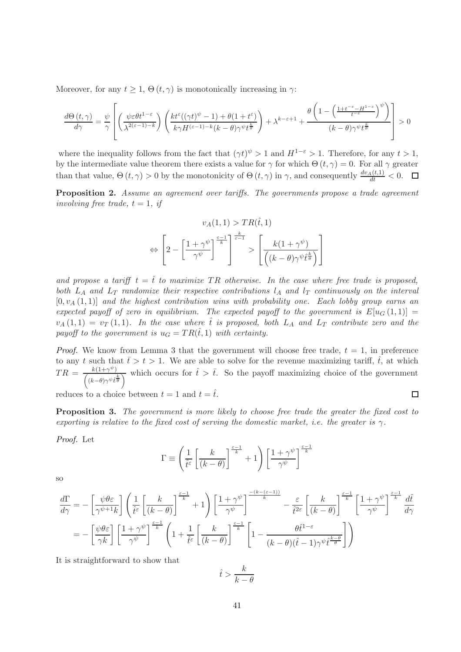Moreover, for any  $t \geq 1$ ,  $\Theta(t, \gamma)$  is monotonically increasing in  $\gamma$ :

$$
\frac{d\Theta\left(t,\gamma\right)}{d\gamma} = \frac{\psi}{\gamma} \left[ \left( \frac{\psi \varepsilon \theta t^{1-\varepsilon}}{\lambda^{2(\varepsilon-1)-k}} \right) \left( \frac{kt^{\varepsilon}((\gamma t)^{\psi}-1) + \theta(1+t^{\varepsilon})}{k\gamma H^{(\varepsilon-1)-k}(k-\theta)\gamma^{\psi}t^{\frac{k}{\theta}}} \right) + \lambda^{k-\varepsilon+1} + \frac{\theta\left(1 - \left( \frac{1+t^{-\varepsilon}-H^{1-\varepsilon}}{t^{-\varepsilon}} \right)^{\psi}\right)}{(k-\theta)\gamma^{\psi}t^{\frac{k}{\theta}}} \right] > 0
$$

where the inequality follows from the fact that  $(\gamma t)^{\psi} > 1$  and  $H^{1-\epsilon} > 1$ . Therefore, for any  $t > 1$ , by the intermediate value theorem there exists a value for  $\gamma$  for which  $\Theta(t, \gamma) = 0$ . For all  $\gamma$  greater than that value,  $\Theta(t, \gamma) > 0$  by the monotonicity of  $\Theta(t, \gamma)$  in  $\gamma$ , and consequently  $\frac{dv_A(t,1)}{dt} < 0$ .

Proposition 2. Assume an agreement over tariffs. The governments propose a trade agreement involving free trade,  $t = 1$ , if

$$
v_A(1,1) > TR(\hat{t},1)
$$

$$
\Leftrightarrow \left[2 - \left[\frac{1+\gamma^{\psi}}{\gamma^{\psi}}\right]^{\frac{\varepsilon-1}{k}}\right] \stackrel{\frac{k}{\varepsilon-1}}{\longrightarrow} > \left[\frac{k(1+\gamma^{\psi})}{\left((k-\theta)\gamma^{\psi}\hat{t}^{\frac{k}{\theta}}\right)}\right]
$$

and propose a tariff  $t = \hat{t}$  to maximize TR otherwise. In the case where free trade is proposed, both  $L_A$  and  $L_T$  randomize their respective contributions  $l_A$  and  $l_T$  continuously on the interval  $[0, v_A(1, 1)]$  and the highest contribution wins with probability one. Each lobby group earns an expected payoff of zero in equilibrium. The expected payoff to the government is  $E[u_G(1,1)] =$  $v_A(1,1) = v_T(1,1)$ . In the case where  $\hat{t}$  is proposed, both  $L_A$  and  $L_T$  contribute zero and the payoff to the government is  $u_G = TR(\hat{t}, 1)$  with certainty.

*Proof.* We know from Lemma 3 that the government will choose free trade,  $t = 1$ , in preference to any t such that  $\bar{t} > t > 1$ . We are able to solve for the revenue maximizing tariff,  $\hat{t}$ , at which  $TR = \frac{k(1+\gamma^{\psi})}{\gamma}$  $\frac{k(1+\gamma^{\psi})}{(k-\theta)\gamma^{\psi}\hat{t}\hat{\theta}}$  which occurs for  $\hat{t} > \bar{t}$ . So the payoff maximizing choice of the government

reduces to a choice between  $t = 1$  and  $t = \hat{t}$ .

**Proposition 3.** The government is more likely to choose free trade the greater the fixed cost to exporting is relative to the fixed cost of serving the domestic market, i.e. the greater is  $\gamma$ .

 $\Box$ 

Proof. Let

$$
\Gamma \equiv \left(\frac{1}{\hat{t}^{\varepsilon}} \left[ \frac{k}{(k-\theta)} \right]^{\frac{\varepsilon-1}{k}} + 1\right) \left[ \frac{1+\gamma^{\psi}}{\gamma^{\psi}} \right]^{\frac{\varepsilon-1}{k}}
$$

so

$$
\frac{d\Gamma}{d\gamma} = -\left[\frac{\psi\theta\varepsilon}{\gamma^{\psi+1}k}\right] \left(\frac{1}{\hat{t}^{\varepsilon}}\left[\frac{k}{(k-\theta)}\right]^{\frac{\varepsilon-1}{k}} + 1\right) \left[\frac{1+\gamma^{\psi}}{\gamma^{\psi}}\right]^{\frac{-(k-(\varepsilon-1))}{k}} - \frac{\varepsilon}{\hat{t}^{2\varepsilon}}\left[\frac{k}{(k-\theta)}\right]^{\frac{\varepsilon-1}{k}} \left[\frac{1+\gamma^{\psi}}{\gamma^{\psi}}\right]^{\frac{\varepsilon-1}{k}} d\hat{t}
$$

$$
= -\left[\frac{\psi\theta\varepsilon}{\gamma k}\right] \left[\frac{1+\gamma^{\psi}}{\gamma^{\psi}}\right]^{\frac{\varepsilon-1}{k}} \left(1 + \frac{1}{\hat{t}^{\varepsilon}}\left[\frac{k}{(k-\theta)}\right]^{\frac{\varepsilon-1}{k}} \left[1 - \frac{\theta\hat{t}^{1-\varepsilon}}{(k-\theta)(\hat{t}-1)\gamma^{\psi}\hat{t}^{\frac{k-\theta}{\theta}}}\right]\right)
$$

It is straightforward to show that

$$
\hat{t} > \frac{k}{k - \theta}
$$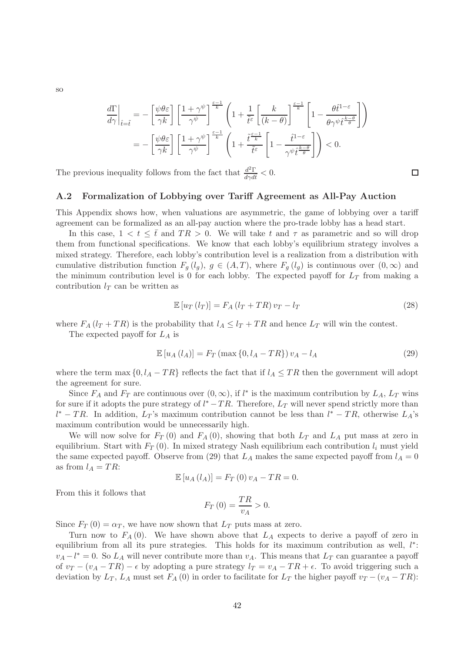$$
\frac{d\Gamma}{d\gamma}\bigg|_{\hat{t}=\hat{t}} = -\left[\frac{\psi\theta\varepsilon}{\gamma k}\right] \left[\frac{1+\gamma^{\psi}}{\gamma^{\psi}}\right]^{\frac{\varepsilon-1}{k}} \left(1+\frac{1}{\hat{t}^{\varepsilon}}\left[\frac{k}{(k-\theta)}\right]^{\frac{\varepsilon-1}{k}} \left[1-\frac{\theta\hat{t}^{1-\varepsilon}}{\theta\gamma^{\psi}\hat{t}^{\frac{k-\theta}{\theta}}}\right]\right)
$$

$$
= -\left[\frac{\psi\theta\varepsilon}{\gamma k}\right] \left[\frac{1+\gamma^{\psi}}{\gamma^{\psi}}\right]^{\frac{\varepsilon-1}{k}} \left(1+\frac{\hat{t}^{\frac{\varepsilon-1}{k}}}{\hat{t}^{\varepsilon}}\left[1-\frac{\hat{t}^{1-\varepsilon}}{\gamma^{\psi}\hat{t}^{\frac{k-\theta}{\theta}}}\right]\right) < 0.
$$

The previous inequality follows from the fact that  $\frac{d^2\Gamma}{d\gamma d\tilde{t}} < 0$ .

#### A.2 Formalization of Lobbying over Tariff Agreement as All-Pay Auction

This Appendix shows how, when valuations are asymmetric, the game of lobbying over a tariff agreement can be formalized as an all-pay auction where the pro-trade lobby has a head start.

In this case,  $1 < t \leq \bar{t}$  and  $TR > 0$ . We will take t and  $\tau$  as parametric and so will drop them from functional specifications. We know that each lobby's equilibrium strategy involves a mixed strategy. Therefore, each lobby's contribution level is a realization from a distribution with cumulative distribution function  $F_g(l_g)$ ,  $g \in (A,T)$ , where  $F_g(l_g)$  is continuous over  $(0,\infty)$  and the minimum contribution level is 0 for each lobby. The expected payoff for  $L_T$  from making a contribution  $l_T$  can be written as

$$
\mathbb{E}\left[u_T\left(l_T\right)\right] = F_A\left(l_T + TR\right)v_T - l_T\tag{28}
$$

 $\Box$ 

where  $F_A(l_T + TR)$  is the probability that  $l_A \leq l_T + TR$  and hence  $L_T$  will win the contest.

The expected payoff for  $L_A$  is

$$
\mathbb{E}\left[u_A\left(l_A\right)\right] = F_T\left(\max\left\{0, l_A - TR\right\}\right)v_A - l_A\tag{29}
$$

where the term max  $\{0, l_A - TR\}$  reflects the fact that if  $l_A \leq TR$  then the government will adopt the agreement for sure.

Since  $F_A$  and  $F_T$  are continuous over  $(0, \infty)$ , if  $l^*$  is the maximum contribution by  $L_A$ ,  $L_T$  wins for sure if it adopts the pure strategy of  $l^* - TR$ . Therefore,  $L_T$  will never spend strictly more than  $l^* - TR$ . In addition,  $L_T$ 's maximum contribution cannot be less than  $l^* - TR$ , otherwise  $L_A$ 's maximum contribution would be unnecessarily high.

We will now solve for  $F_T(0)$  and  $F_A(0)$ , showing that both  $L_T$  and  $L_A$  put mass at zero in equilibrium. Start with  $F_T(0)$ . In mixed strategy Nash equilibrium each contribution  $l_i$  must yield the same expected payoff. Observe from (29) that  $L_A$  makes the same expected payoff from  $l_A = 0$ as from  $l_A = TR$ :

$$
\mathbb{E}\left[u_A\left(l_A\right)\right] = F_T\left(0\right)v_A - TR = 0.
$$

From this it follows that

$$
F_T(0) = \frac{TR}{v_A} > 0.
$$

Since  $F_T(0) = \alpha_T$ , we have now shown that  $L_T$  puts mass at zero.

Turn now to  $F_A(0)$ . We have shown above that  $L_A$  expects to derive a payoff of zero in equilibrium from all its pure strategies. This holds for its maximum contribution as well,  $l^*$ :  $v_A - l^* = 0$ . So  $L_A$  will never contribute more than  $v_A$ . This means that  $L_T$  can guarantee a payoff of  $v_T - (v_A - TR) - \epsilon$  by adopting a pure strategy  $l_T = v_A - TR + \epsilon$ . To avoid triggering such a deviation by  $L_T$ ,  $L_A$  must set  $F_A$  (0) in order to facilitate for  $L_T$  the higher payoff  $v_T - (v_A - TR)$ :

so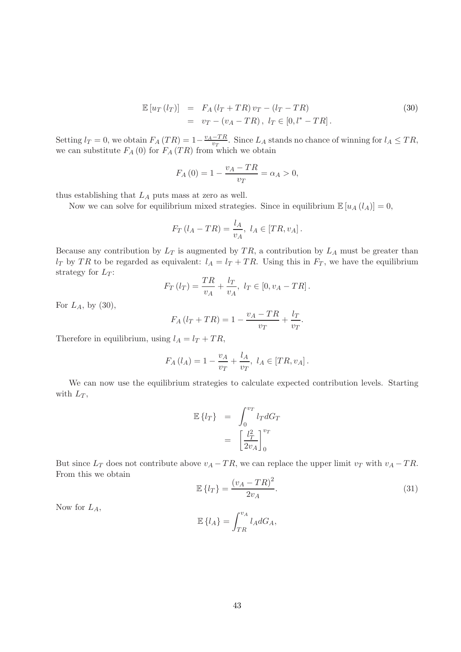$$
\mathbb{E}\left[u_T\left(l_T\right)\right] = F_A\left(l_T + TR\right)v_T - \left(l_T - TR\right) \n= v_T - \left(v_A - TR\right), \quad l_T \in [0, l^* - TR].
$$
\n(30)

Setting  $l_T = 0$ , we obtain  $F_A(TR) = 1 - \frac{v_A - TR}{v_T}$  $\frac{-1}{v_T}$ . Since  $L_A$  stands no chance of winning for  $l_A \leq TR$ , we can substitute  $F_A(0)$  for  $F_A(TR)$  from which we obtain

$$
F_A(0) = 1 - \frac{v_A - TR}{v_T} = \alpha_A > 0,
$$

thus establishing that  $L_A$  puts mass at zero as well.

Now we can solve for equilibrium mixed strategies. Since in equilibrium  $\mathbb{E}[u_A(l_A)] = 0$ ,

$$
F_T(l_A - TR) = \frac{l_A}{v_A}, l_A \in [TR, v_A].
$$

Because any contribution by  $L_T$  is augmented by TR, a contribution by  $L_A$  must be greater than  $l_T$  by TR to be regarded as equivalent:  $l_A = l_T + TR$ . Using this in  $F_T$ , we have the equilibrium strategy for  $L_T$ :

$$
F_T(l_T) = \frac{TR}{v_A} + \frac{l_T}{v_A}, \ l_T \in [0, v_A - TR].
$$

For  $L_A$ , by  $(30)$ ,

$$
F_A(l_T + TR) = 1 - \frac{v_A - TR}{v_T} + \frac{l_T}{v_T}.
$$

Therefore in equilibrium, using  $l_A = l_T + TR$ ,

$$
F_A(l_A) = 1 - \frac{v_A}{v_T} + \frac{l_A}{v_T}, l_A \in [TR, v_A].
$$

We can now use the equilibrium strategies to calculate expected contribution levels. Starting with  $L_T$ ,

$$
\mathbb{E}\left\{l_T\right\} = \int_0^{v_T} l_T dG_T
$$

$$
= \left[\frac{l_T^2}{2v_A}\right]_0^{v_T}
$$

But since  $L_T$  does not contribute above  $v_A - TR$ , we can replace the upper limit  $v_T$  with  $v_A - TR$ . From this we obtain

$$
\mathbb{E}\left\{l_T\right\} = \frac{(v_A - TR)^2}{2v_A}.\tag{31}
$$

Now for  $L_A$ ,

$$
\mathbb{E}\left\{l_A\right\} = \int_{TR}^{v_A} l_A dG_A,
$$